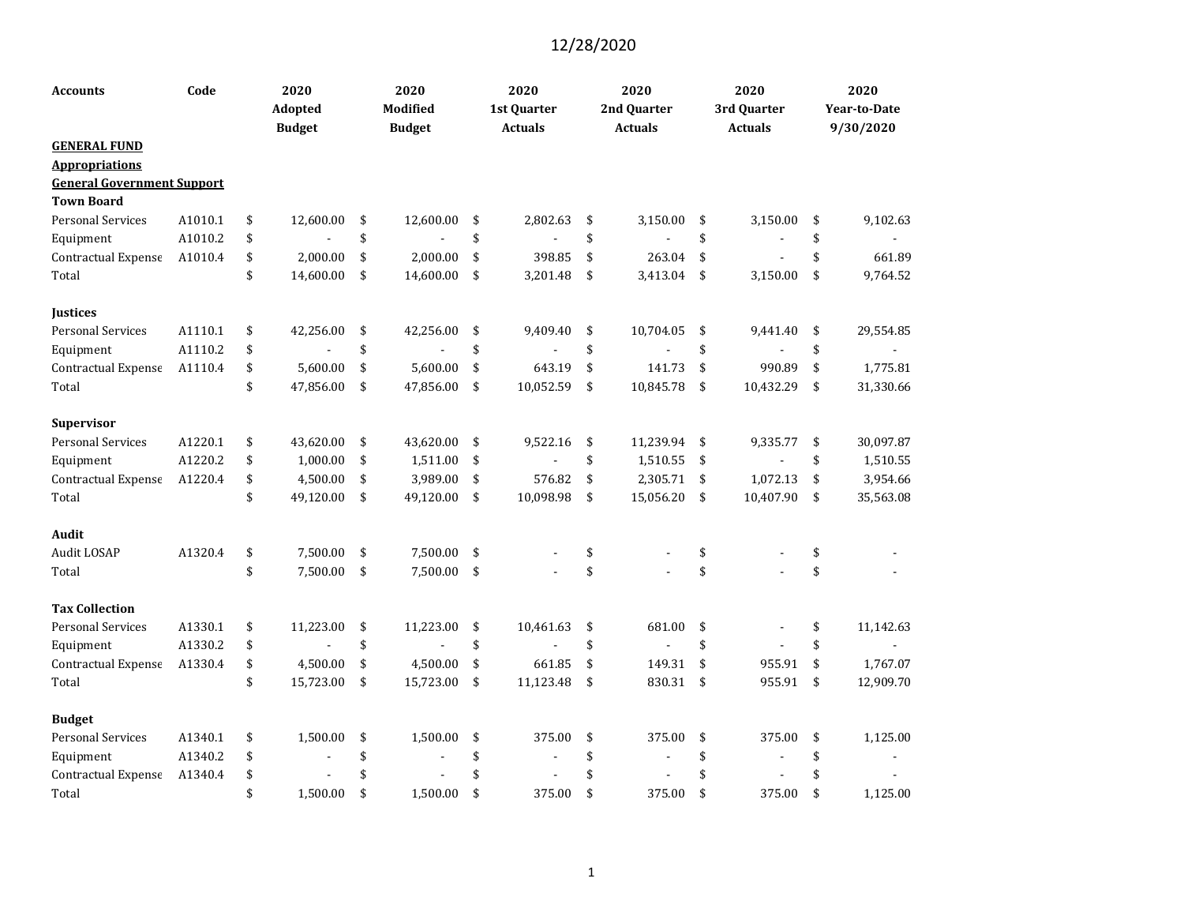| <b>Accounts</b>                   | Code    | 2020<br>Adopted<br><b>Budget</b> | 2020<br>Modified<br><b>Budget</b> | 2020<br>1st Quarter<br><b>Actuals</b> | 2020<br>2nd Quarter<br><b>Actuals</b> | 2020<br>3rd Quarter<br><b>Actuals</b> | 2020<br><b>Year-to-Date</b><br>9/30/2020 |
|-----------------------------------|---------|----------------------------------|-----------------------------------|---------------------------------------|---------------------------------------|---------------------------------------|------------------------------------------|
| <b>GENERAL FUND</b>               |         |                                  |                                   |                                       |                                       |                                       |                                          |
| <b>Appropriations</b>             |         |                                  |                                   |                                       |                                       |                                       |                                          |
| <b>General Government Support</b> |         |                                  |                                   |                                       |                                       |                                       |                                          |
| <b>Town Board</b>                 |         |                                  |                                   |                                       |                                       |                                       |                                          |
| <b>Personal Services</b>          | A1010.1 | \$<br>12,600.00                  | \$<br>12,600.00                   | \$<br>2,802.63                        | \$<br>3,150.00                        | \$<br>3,150.00                        | \$<br>9,102.63                           |
| Equipment                         | A1010.2 | \$                               | \$                                | \$                                    | \$                                    | \$                                    | \$                                       |
| Contractual Expense               | A1010.4 | \$<br>2,000.00                   | \$<br>2,000.00                    | \$<br>398.85                          | \$<br>263.04                          | \$                                    | \$<br>661.89                             |
| Total                             |         | \$<br>14,600.00                  | \$<br>14,600.00                   | \$<br>3,201.48                        | \$<br>3,413.04                        | \$<br>3,150.00                        | \$<br>9,764.52                           |
| <b>Justices</b>                   |         |                                  |                                   |                                       |                                       |                                       |                                          |
| <b>Personal Services</b>          | A1110.1 | \$<br>42,256.00                  | \$<br>42,256.00                   | \$<br>9,409.40                        | \$<br>10,704.05                       | \$<br>9,441.40                        | \$<br>29,554.85                          |
| Equipment                         | A1110.2 | \$                               | \$                                | \$                                    | \$                                    | \$                                    | \$                                       |
| Contractual Expense               | A1110.4 | \$<br>5,600.00                   | \$<br>5,600.00                    | \$<br>643.19                          | \$<br>141.73                          | \$<br>990.89                          | \$<br>1,775.81                           |
| Total                             |         | \$<br>47,856.00                  | \$<br>47,856.00                   | \$<br>10,052.59                       | \$<br>10,845.78                       | \$<br>10,432.29                       | \$<br>31,330.66                          |
| Supervisor                        |         |                                  |                                   |                                       |                                       |                                       |                                          |
| Personal Services                 | A1220.1 | \$<br>43,620.00                  | \$<br>43,620.00                   | \$<br>9,522.16                        | \$<br>11,239.94                       | \$<br>9,335.77                        | \$<br>30,097.87                          |
| Equipment                         | A1220.2 | \$<br>1,000.00                   | \$<br>1,511.00                    | \$                                    | \$<br>1,510.55                        | \$                                    | \$<br>1,510.55                           |
| Contractual Expense               | A1220.4 | \$<br>4,500.00                   | \$<br>3,989.00                    | \$<br>576.82                          | \$<br>2,305.71                        | \$<br>1,072.13                        | \$<br>3,954.66                           |
| Total                             |         | \$<br>49,120.00                  | \$<br>49,120.00                   | \$<br>10,098.98                       | \$<br>15,056.20                       | \$<br>10,407.90                       | \$<br>35,563.08                          |
| Audit                             |         |                                  |                                   |                                       |                                       |                                       |                                          |
| Audit LOSAP                       | A1320.4 | \$<br>7,500.00                   | \$<br>7,500.00                    | \$                                    | \$                                    | \$                                    | \$                                       |
| Total                             |         | \$<br>7,500.00                   | \$<br>7,500.00                    | \$                                    | \$                                    | \$                                    | \$                                       |
| <b>Tax Collection</b>             |         |                                  |                                   |                                       |                                       |                                       |                                          |
| Personal Services                 | A1330.1 | \$<br>11,223.00                  | \$<br>11,223.00                   | \$<br>10,461.63                       | \$<br>681.00                          | \$                                    | \$<br>11,142.63                          |
| Equipment                         | A1330.2 | \$                               | \$                                | \$                                    | \$                                    | \$                                    | \$                                       |
| Contractual Expense               | A1330.4 | \$<br>4,500.00                   | \$<br>4,500.00                    | \$<br>661.85                          | \$<br>149.31                          | \$<br>955.91                          | \$<br>1,767.07                           |
| Total                             |         | \$<br>15,723.00                  | \$<br>15,723.00                   | \$<br>11,123.48                       | \$<br>830.31                          | \$<br>955.91                          | \$<br>12,909.70                          |
| <b>Budget</b>                     |         |                                  |                                   |                                       |                                       |                                       |                                          |
| <b>Personal Services</b>          | A1340.1 | \$<br>1,500.00                   | \$<br>1,500.00                    | \$<br>375.00                          | \$<br>375.00                          | \$<br>375.00                          | \$<br>1,125.00                           |
| Equipment                         | A1340.2 | \$                               | \$                                | \$                                    | \$                                    | \$                                    | \$                                       |
| Contractual Expense               | A1340.4 | \$                               | \$                                | \$                                    | \$                                    | \$                                    | \$                                       |
| Total                             |         | \$<br>1,500.00                   | \$<br>1,500.00                    | \$<br>375.00                          | \$<br>375.00                          | \$<br>375.00                          | \$<br>1,125.00                           |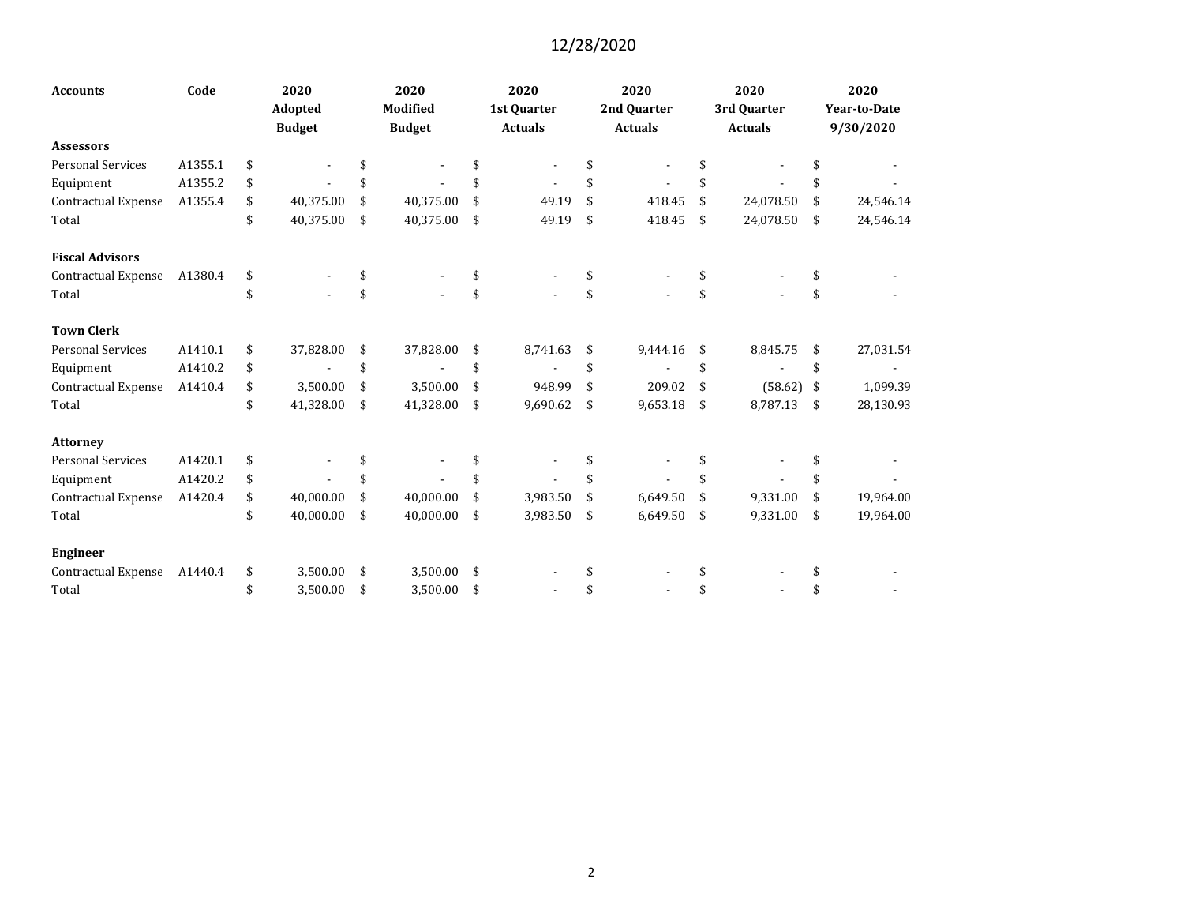| <b>Accounts</b>          | Code    | 2020<br>Adopted<br><b>Budget</b> |                    | 2020<br>Modified<br><b>Budget</b> | 2020<br>1st Quarter<br><b>Actuals</b> | 2020<br>2nd Quarter<br><b>Actuals</b> | 2020<br>3rd Quarter<br><b>Actuals</b> | 2020<br><b>Year-to-Date</b><br>9/30/2020 |
|--------------------------|---------|----------------------------------|--------------------|-----------------------------------|---------------------------------------|---------------------------------------|---------------------------------------|------------------------------------------|
| <b>Assessors</b>         |         |                                  |                    |                                   |                                       |                                       |                                       |                                          |
| <b>Personal Services</b> | A1355.1 | \$                               |                    |                                   |                                       |                                       |                                       |                                          |
| Equipment                | A1355.2 | \$                               |                    |                                   |                                       |                                       |                                       |                                          |
| Contractual Expense      | A1355.4 | \$<br>40,375.00                  | \$                 | 40,375.00                         | \$<br>49.19                           | \$<br>418.45                          | \$<br>24.078.50                       | \$<br>24,546.14                          |
| Total                    |         | \$<br>40,375.00                  | \$                 | 40,375.00                         | \$<br>49.19                           | \$<br>418.45                          | \$<br>24,078.50                       | \$<br>24,546.14                          |
| <b>Fiscal Advisors</b>   |         |                                  |                    |                                   |                                       |                                       |                                       |                                          |
| Contractual Expense      | A1380.4 | \$                               |                    |                                   | \$                                    |                                       |                                       |                                          |
| Total                    |         | \$                               | $\mathbf{\hat{S}}$ |                                   | \$                                    | \$                                    |                                       |                                          |
| <b>Town Clerk</b>        |         |                                  |                    |                                   |                                       |                                       |                                       |                                          |
| <b>Personal Services</b> | A1410.1 | \$<br>37,828.00                  | \$                 | 37,828.00                         | \$<br>8,741.63                        | \$<br>9,444.16                        | \$<br>8,845.75                        | \$<br>27,031.54                          |
| Equipment                | A1410.2 | \$                               | \$                 |                                   | \$                                    | \$                                    | \$                                    | \$                                       |
| Contractual Expense      | A1410.4 | \$<br>3,500.00                   | \$                 | 3,500.00                          | \$<br>948.99                          | \$<br>209.02                          | \$<br>$(58.62)$ \$                    | 1,099.39                                 |
| Total                    |         | \$<br>41,328.00                  | \$                 | 41,328.00                         | \$<br>9,690.62                        | \$<br>9,653.18                        | \$<br>8,787.13                        | \$<br>28,130.93                          |
| <b>Attorney</b>          |         |                                  |                    |                                   |                                       |                                       |                                       |                                          |
| <b>Personal Services</b> | A1420.1 | \$                               |                    |                                   | \$                                    |                                       |                                       |                                          |
| Equipment                | A1420.2 | \$                               |                    |                                   |                                       |                                       |                                       |                                          |
| Contractual Expense      | A1420.4 | \$<br>40,000.00                  | \$                 | 40,000.00                         | \$<br>3,983.50                        | \$<br>6,649.50                        | \$<br>9,331.00                        | \$<br>19,964.00                          |
| Total                    |         | \$<br>40,000.00                  | \$                 | 40,000.00                         | \$<br>3,983.50                        | \$<br>6,649.50                        | \$<br>9,331.00                        | \$<br>19,964.00                          |
| Engineer                 |         |                                  |                    |                                   |                                       |                                       |                                       |                                          |
| Contractual Expense      | A1440.4 | \$<br>3,500.00                   | \$                 | 3,500.00                          | \$                                    |                                       |                                       |                                          |
| Total                    |         | \$<br>3,500.00                   | \$                 | 3,500.00                          | \$                                    |                                       |                                       |                                          |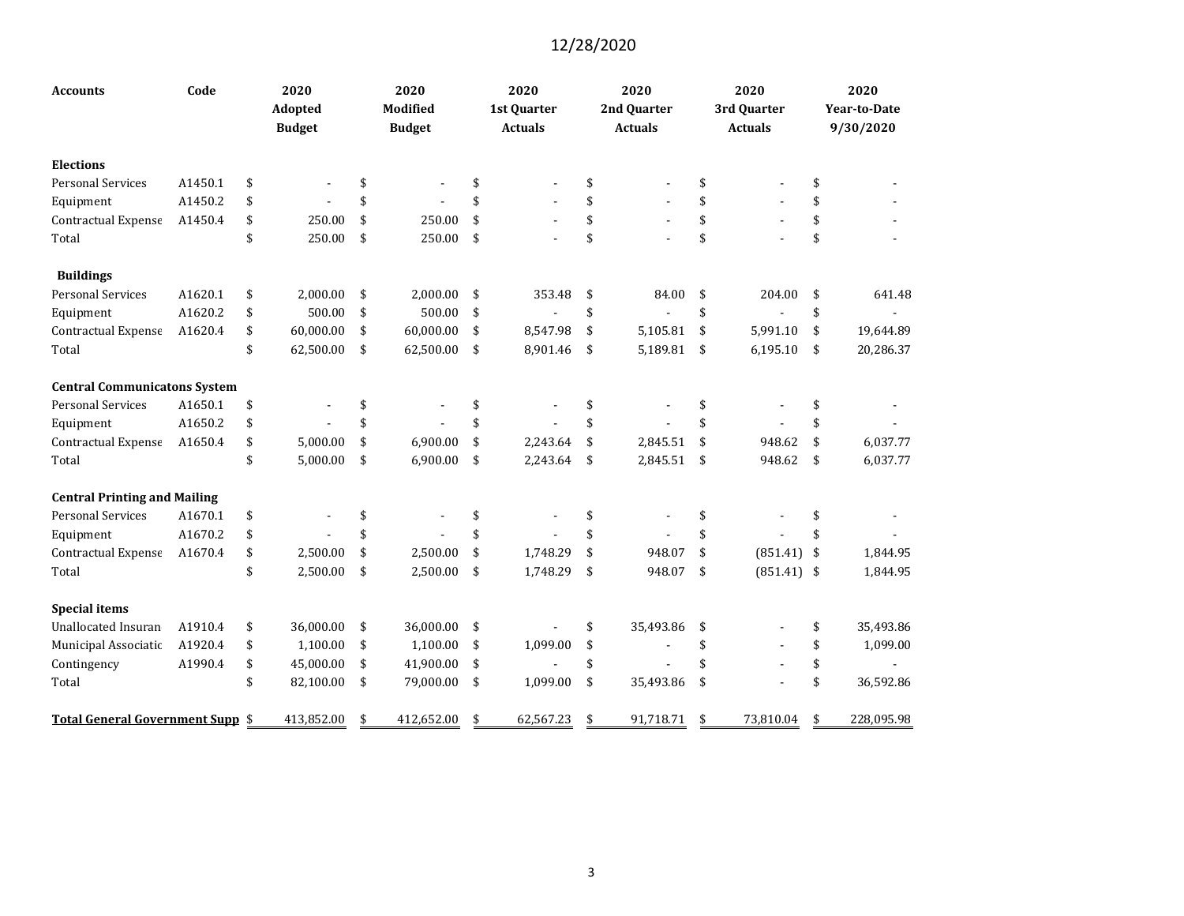| <b>Accounts</b>                     | Code    | 2020<br><b>Adopted</b><br><b>Budget</b> | 2020<br>Modified<br><b>Budget</b> | 2020<br>1st Quarter<br><b>Actuals</b> | 2020<br>2nd Quarter<br><b>Actuals</b> | 2020<br>3rd Quarter<br><b>Actuals</b> | 2020<br>Year-to-Date<br>9/30/2020 |
|-------------------------------------|---------|-----------------------------------------|-----------------------------------|---------------------------------------|---------------------------------------|---------------------------------------|-----------------------------------|
| <b>Elections</b>                    |         |                                         |                                   |                                       |                                       |                                       |                                   |
| <b>Personal Services</b>            | A1450.1 | \$                                      | \$                                | \$                                    | \$                                    | \$                                    | \$                                |
| Equipment                           | A1450.2 | \$                                      | \$                                | \$                                    | \$                                    | \$                                    | \$                                |
| Contractual Expense                 | A1450.4 | \$<br>250.00                            | \$<br>250.00                      | \$                                    | \$                                    | \$                                    | \$                                |
| Total                               |         | \$<br>250.00                            | \$<br>250.00                      | \$                                    | \$                                    | \$                                    | \$                                |
| <b>Buildings</b>                    |         |                                         |                                   |                                       |                                       |                                       |                                   |
| <b>Personal Services</b>            | A1620.1 | \$<br>2,000.00                          | \$<br>2,000.00                    | \$<br>353.48                          | \$<br>84.00                           | \$<br>204.00                          | \$<br>641.48                      |
| Equipment                           | A1620.2 | \$<br>500.00                            | \$<br>500.00                      | \$                                    | \$                                    | \$                                    | \$                                |
| Contractual Expense                 | A1620.4 | \$<br>60,000.00                         | \$<br>60,000.00                   | \$<br>8,547.98                        | \$<br>5,105.81                        | \$<br>5,991.10                        | \$<br>19,644.89                   |
| Total                               |         | \$<br>62,500.00                         | \$<br>62,500.00                   | \$<br>8,901.46                        | \$<br>5,189.81                        | \$<br>6,195.10                        | \$<br>20,286.37                   |
| <b>Central Communicatons System</b> |         |                                         |                                   |                                       |                                       |                                       |                                   |
| <b>Personal Services</b>            | A1650.1 | \$                                      | \$                                | \$                                    | \$                                    | \$                                    | \$                                |
| Equipment                           | A1650.2 | \$                                      | \$                                | \$                                    | \$                                    | \$                                    | \$                                |
| Contractual Expense                 | A1650.4 | \$<br>5,000.00                          | \$<br>6,900.00                    | \$<br>2,243.64                        | \$<br>2,845.51                        | \$<br>948.62                          | \$<br>6,037.77                    |
| Total                               |         | \$<br>5,000.00                          | \$<br>6,900.00                    | \$<br>2,243.64                        | \$<br>2,845.51                        | \$<br>948.62                          | \$<br>6,037.77                    |
| <b>Central Printing and Mailing</b> |         |                                         |                                   |                                       |                                       |                                       |                                   |
| <b>Personal Services</b>            | A1670.1 | \$                                      | \$                                | \$                                    | \$                                    | \$                                    | \$                                |
| Equipment                           | A1670.2 | \$                                      | \$                                | \$                                    | \$                                    | \$                                    | \$                                |
| Contractual Expense                 | A1670.4 | \$<br>2,500.00                          | \$<br>2,500.00                    | \$<br>1,748.29                        | \$<br>948.07                          | \$<br>$(851.41)$ \$                   | 1,844.95                          |
| Total                               |         | \$<br>2,500.00                          | \$<br>2,500.00                    | \$<br>1,748.29                        | \$<br>948.07                          | \$<br>$(851.41)$ \$                   | 1,844.95                          |
| <b>Special items</b>                |         |                                         |                                   |                                       |                                       |                                       |                                   |
| Unallocated Insuran                 | A1910.4 | \$<br>36,000.00                         | \$<br>36,000.00                   | \$                                    | \$<br>35,493.86                       | \$                                    | \$<br>35,493.86                   |
| Municipal Associatic                | A1920.4 | \$<br>1,100.00                          | \$<br>1,100.00                    | \$<br>1,099.00                        | \$                                    | \$                                    | \$<br>1,099.00                    |
| Contingency                         | A1990.4 | \$<br>45,000.00                         | \$<br>41,900.00                   | \$                                    | \$                                    | \$                                    | \$                                |
| Total                               |         | \$<br>82,100.00                         | \$<br>79,000.00                   | \$<br>1,099.00                        | \$<br>35,493.86                       | \$                                    | \$<br>36,592.86                   |
| Total General Government Supp \$    |         | 413,852.00                              | \$<br>412,652.00                  | \$<br>62,567.23                       | \$<br>91,718.71                       | \$<br>73,810.04                       | \$<br>228,095.98                  |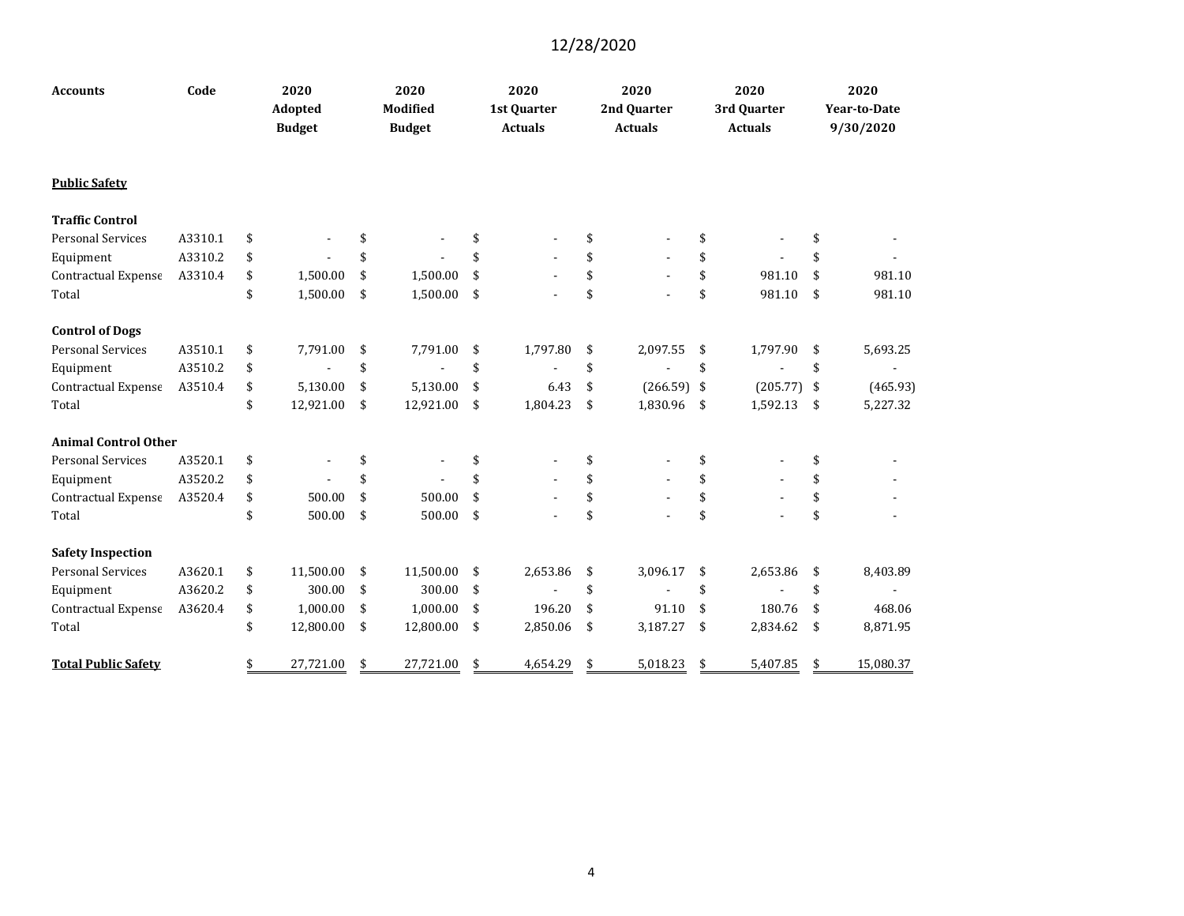| <b>Accounts</b>             | Code    | 2020<br>Adopted<br><b>Budget</b> | 2020<br>Modified<br><b>Budget</b> |     | 2020<br>1st Quarter<br><b>Actuals</b> | 2020<br>2nd Quarter<br><b>Actuals</b> | 2020<br>3rd Quarter<br><b>Actuals</b> |      | 2020<br><b>Year-to-Date</b><br>9/30/2020 |
|-----------------------------|---------|----------------------------------|-----------------------------------|-----|---------------------------------------|---------------------------------------|---------------------------------------|------|------------------------------------------|
| <b>Public Safety</b>        |         |                                  |                                   |     |                                       |                                       |                                       |      |                                          |
| <b>Traffic Control</b>      |         |                                  |                                   |     |                                       |                                       |                                       |      |                                          |
| <b>Personal Services</b>    | A3310.1 | \$                               | \$                                |     |                                       | \$                                    | \$                                    | \$   |                                          |
| Equipment                   | A3310.2 | \$                               | \$                                | \$  |                                       | \$                                    | \$                                    | \$   |                                          |
| Contractual Expense         | A3310.4 | \$<br>1,500.00                   | \$<br>1,500.00                    | \$  |                                       | \$                                    | \$<br>981.10                          | \$   | 981.10                                   |
| Total                       |         | \$<br>1,500.00                   | \$<br>1,500.00                    | -\$ |                                       | \$                                    | \$<br>981.10                          | \$   | 981.10                                   |
| <b>Control of Dogs</b>      |         |                                  |                                   |     |                                       |                                       |                                       |      |                                          |
| <b>Personal Services</b>    | A3510.1 | \$<br>7,791.00                   | \$<br>7,791.00                    | \$  | 1,797.80                              | \$<br>2,097.55                        | \$<br>1,797.90                        | \$   | 5,693.25                                 |
| Equipment                   | A3510.2 | \$                               | \$                                | \$  |                                       | \$                                    | \$                                    | \$   |                                          |
| Contractual Expense         | A3510.4 | \$<br>5,130.00                   | \$<br>5,130.00                    | \$  | 6.43                                  | \$<br>$(266.59)$ \$                   | $(205.77)$ \$                         |      | (465.93)                                 |
| Total                       |         | \$<br>12,921.00                  | \$<br>12,921.00                   | \$  | 1,804.23                              | \$<br>1,830.96                        | \$<br>1,592.13                        | - \$ | 5,227.32                                 |
| <b>Animal Control Other</b> |         |                                  |                                   |     |                                       |                                       |                                       |      |                                          |
| <b>Personal Services</b>    | A3520.1 | \$                               | \$                                | \$  |                                       | \$                                    | \$                                    | \$   |                                          |
| Equipment                   | A3520.2 | \$                               | \$                                | \$  |                                       | \$                                    | \$                                    | \$   |                                          |
| Contractual Expense         | A3520.4 | \$<br>500.00                     | \$<br>500.00                      | \$  |                                       | \$                                    | \$                                    | \$   |                                          |
| Total                       |         | \$<br>500.00                     | \$<br>500.00                      | \$  |                                       | \$                                    | \$                                    | \$   |                                          |
| <b>Safety Inspection</b>    |         |                                  |                                   |     |                                       |                                       |                                       |      |                                          |
| <b>Personal Services</b>    | A3620.1 | \$<br>11,500.00                  | \$<br>11,500.00                   | \$  | 2,653.86                              | \$<br>3,096.17                        | \$<br>2,653.86                        | \$   | 8,403.89                                 |
| Equipment                   | A3620.2 | \$<br>300.00                     | \$<br>300.00                      | \$  |                                       | \$                                    | \$                                    | \$   |                                          |
| Contractual Expense         | A3620.4 | \$<br>1,000.00                   | \$<br>1,000.00                    | \$  | 196.20                                | \$<br>91.10                           | \$<br>180.76                          | \$   | 468.06                                   |
| Total                       |         | \$<br>12,800.00                  | \$<br>12,800.00                   | \$  | 2,850.06                              | \$<br>3,187.27                        | \$<br>2,834.62                        | \$   | 8,871.95                                 |
| <b>Total Public Safety</b>  |         | \$<br>27,721.00                  | \$<br>27,721.00                   | \$  | 4,654.29                              | \$<br>5,018.23                        | \$<br>5,407.85                        | \$   | 15,080.37                                |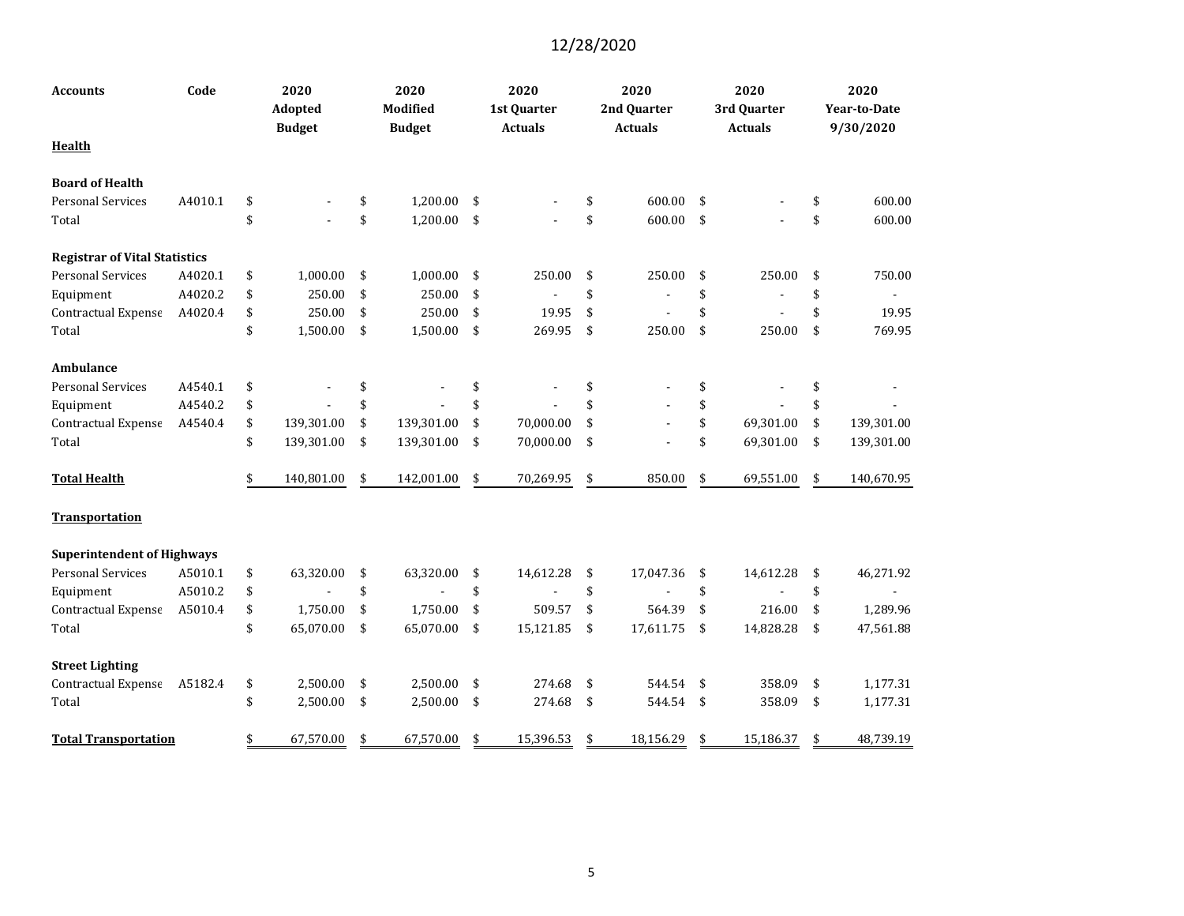| <b>Accounts</b>                      | Code    | 2020<br>Adopted<br><b>Budget</b> | 2020<br><b>Modified</b><br><b>Budget</b> | 2020<br>1st Quarter<br><b>Actuals</b> | 2020<br>2nd Quarter<br><b>Actuals</b> | 2020<br>3rd Quarter<br><b>Actuals</b> | 2020<br><b>Year-to-Date</b><br>9/30/2020 |
|--------------------------------------|---------|----------------------------------|------------------------------------------|---------------------------------------|---------------------------------------|---------------------------------------|------------------------------------------|
| Health                               |         |                                  |                                          |                                       |                                       |                                       |                                          |
| <b>Board of Health</b>               |         |                                  |                                          |                                       |                                       |                                       |                                          |
| <b>Personal Services</b>             | A4010.1 | \$                               | \$<br>1,200.00                           | \$                                    | \$<br>600.00                          | \$                                    | \$<br>600.00                             |
| Total                                |         | \$                               | \$<br>1,200.00                           | \$                                    | \$<br>600.00                          | \$                                    | \$<br>600.00                             |
| <b>Registrar of Vital Statistics</b> |         |                                  |                                          |                                       |                                       |                                       |                                          |
| <b>Personal Services</b>             | A4020.1 | \$<br>1,000.00                   | \$<br>1,000.00                           | \$<br>250.00                          | \$<br>250.00                          | \$<br>250.00                          | \$<br>750.00                             |
| Equipment                            | A4020.2 | \$<br>250.00                     | \$<br>250.00                             | \$                                    | \$                                    | \$                                    | \$                                       |
| Contractual Expense                  | A4020.4 | \$<br>250.00                     | \$<br>250.00                             | \$<br>19.95                           | \$                                    | \$                                    | \$<br>19.95                              |
| Total                                |         | \$<br>1,500.00                   | \$<br>1,500.00                           | \$<br>269.95                          | \$<br>250.00                          | \$<br>250.00                          | \$<br>769.95                             |
| Ambulance                            |         |                                  |                                          |                                       |                                       |                                       |                                          |
| <b>Personal Services</b>             | A4540.1 | \$                               | \$                                       | \$                                    | \$                                    | \$                                    | \$                                       |
| Equipment                            | A4540.2 | \$                               | \$                                       | \$                                    | \$                                    | \$                                    | \$                                       |
| Contractual Expense                  | A4540.4 | \$<br>139,301.00                 | \$<br>139,301.00                         | \$<br>70,000.00                       | \$                                    | \$<br>69,301.00                       | \$<br>139,301.00                         |
| Total                                |         | \$<br>139,301.00                 | \$<br>139,301.00                         | \$<br>70,000.00                       | \$                                    | \$<br>69,301.00                       | \$<br>139,301.00                         |
| <b>Total Health</b>                  |         | \$<br>140,801.00                 | \$<br>142,001.00                         | \$<br>70,269.95                       | \$<br>850.00                          | \$<br>69,551.00                       | \$<br>140,670.95                         |
| <b>Transportation</b>                |         |                                  |                                          |                                       |                                       |                                       |                                          |
| <b>Superintendent of Highways</b>    |         |                                  |                                          |                                       |                                       |                                       |                                          |
| <b>Personal Services</b>             | A5010.1 | \$<br>63,320.00                  | \$<br>63,320.00                          | \$<br>14,612.28                       | \$<br>17,047.36                       | \$<br>14,612.28                       | \$<br>46,271.92                          |
| Equipment                            | A5010.2 | \$                               | \$                                       | \$                                    | \$                                    | \$                                    | \$                                       |
| Contractual Expense                  | A5010.4 | \$<br>1,750.00                   | \$<br>1,750.00                           | \$<br>509.57                          | \$<br>564.39                          | \$<br>216.00                          | \$<br>1,289.96                           |
| Total                                |         | \$<br>65,070.00                  | \$<br>65,070.00                          | \$<br>15,121.85                       | \$<br>17,611.75                       | \$<br>14,828.28                       | \$<br>47,561.88                          |
| <b>Street Lighting</b>               |         |                                  |                                          |                                       |                                       |                                       |                                          |
| Contractual Expense                  | A5182.4 | \$<br>2,500.00                   | \$<br>2,500.00                           | \$<br>274.68                          | \$<br>544.54                          | \$<br>358.09                          | \$<br>1,177.31                           |
| Total                                |         | \$<br>2,500.00                   | \$<br>2,500.00                           | \$<br>274.68                          | \$<br>544.54                          | \$<br>358.09                          | \$<br>1,177.31                           |
| <b>Total Transportation</b>          |         | \$<br>67,570.00                  | \$<br>67,570.00                          | \$<br>15,396.53                       | \$<br>18,156.29                       | \$<br>15,186.37                       | \$<br>48,739.19                          |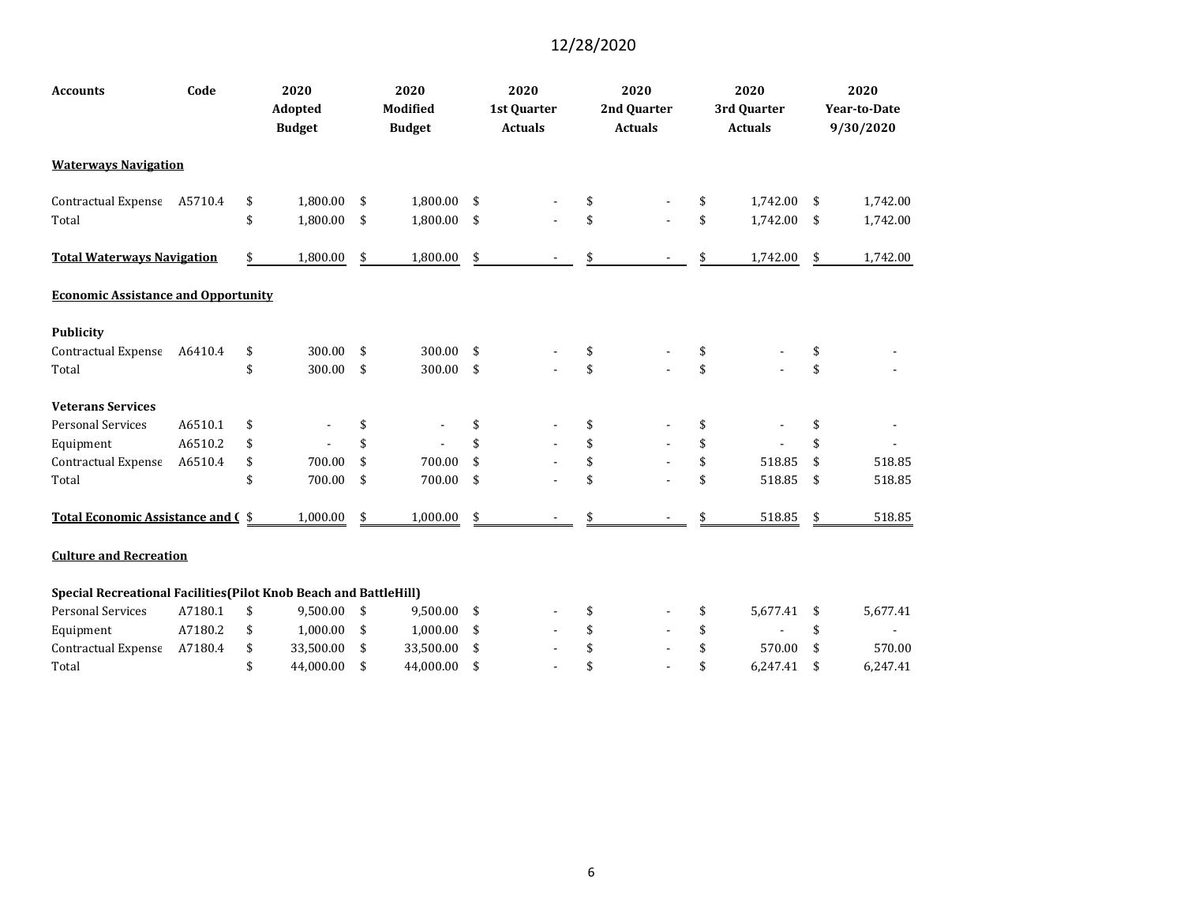| <b>Accounts</b>                                                   | Code    | 2020<br><b>Adopted</b><br><b>Budget</b> | 2020<br>Modified<br><b>Budget</b> | 2020<br>1st Quarter<br><b>Actuals</b> | 2020<br>2nd Quarter<br><b>Actuals</b> | 2020<br>3rd Quarter<br><b>Actuals</b> | 2020<br><b>Year-to-Date</b><br>9/30/2020 |
|-------------------------------------------------------------------|---------|-----------------------------------------|-----------------------------------|---------------------------------------|---------------------------------------|---------------------------------------|------------------------------------------|
| <b>Waterways Navigation</b>                                       |         |                                         |                                   |                                       |                                       |                                       |                                          |
| Contractual Expense A5710.4                                       |         | \$<br>1,800.00                          | \$<br>1,800.00                    | \$                                    |                                       | \$<br>1,742.00                        | \$<br>1,742.00                           |
| Total                                                             |         | \$<br>1,800.00                          | \$<br>1,800.00                    | \$                                    | \$                                    | \$<br>1,742.00                        | \$<br>1,742.00                           |
| <b>Total Waterways Navigation</b>                                 |         | \$<br>1,800.00                          | \$<br>1,800.00                    | \$                                    | \$                                    | \$<br>1,742.00                        | \$<br>1,742.00                           |
| <b>Economic Assistance and Opportunity</b>                        |         |                                         |                                   |                                       |                                       |                                       |                                          |
| <b>Publicity</b>                                                  |         |                                         |                                   |                                       |                                       |                                       |                                          |
| Contractual Expense                                               | A6410.4 | \$<br>300.00                            | \$<br>300.00                      | \$                                    | \$                                    | \$                                    | \$                                       |
| Total                                                             |         | \$<br>300.00                            | \$<br>300.00                      | \$                                    | \$                                    | \$                                    | \$                                       |
| <b>Veterans Services</b>                                          |         |                                         |                                   |                                       |                                       |                                       |                                          |
| <b>Personal Services</b>                                          | A6510.1 | \$                                      | \$                                | \$                                    | \$                                    | \$                                    | \$                                       |
| Equipment                                                         | A6510.2 | \$                                      | \$                                | \$                                    | \$                                    | \$                                    | \$                                       |
| Contractual Expense                                               | A6510.4 | \$<br>700.00                            | \$<br>700.00                      | \$                                    | \$                                    | \$<br>518.85                          | \$<br>518.85                             |
| Total                                                             |         | \$<br>700.00                            | \$<br>700.00                      | \$                                    | \$                                    | \$<br>518.85                          | \$<br>518.85                             |
| Total Economic Assistance and C \$                                |         | 1,000.00                                | \$<br>1,000.00                    | \$                                    |                                       | 518.85                                | \$<br>518.85                             |
| <b>Culture and Recreation</b>                                     |         |                                         |                                   |                                       |                                       |                                       |                                          |
| Special Recreational Facilities (Pilot Knob Beach and BattleHill) |         |                                         |                                   |                                       |                                       |                                       |                                          |
| <b>Personal Services</b>                                          | A7180.1 | \$<br>9,500.00                          | \$<br>9,500.00                    | \$                                    | \$                                    | \$<br>5,677.41                        | \$<br>5,677.41                           |
| Equipment                                                         | A7180.2 | \$<br>1,000.00                          | \$<br>1,000.00                    | \$                                    | \$                                    | \$                                    | \$                                       |
| Contractual Expense                                               | A7180.4 | \$<br>33,500.00                         | \$<br>33,500.00                   | \$                                    | \$                                    | \$<br>570.00                          | \$<br>570.00                             |
| Total                                                             |         | \$<br>44,000.00                         | \$<br>44,000.00                   | \$                                    | \$                                    | \$<br>6,247.41                        | \$<br>6,247.41                           |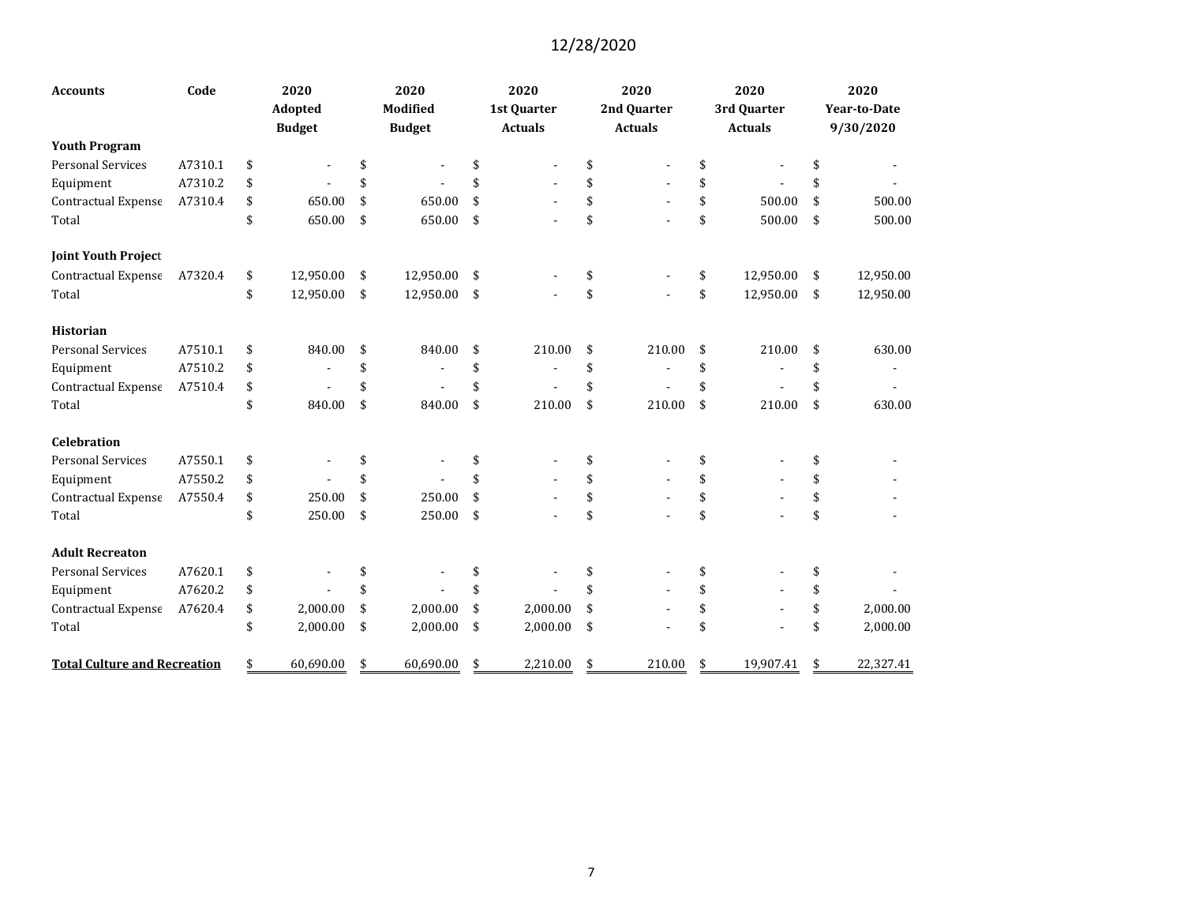| <b>Accounts</b>                     | Code    | 2020<br>Adopted<br><b>Budget</b> | 2020<br>Modified<br><b>Budget</b> | 2020<br>1st Quarter<br><b>Actuals</b> | 2020<br>2nd Quarter<br><b>Actuals</b> | 2020<br>3rd Quarter<br><b>Actuals</b> | 2020<br><b>Year-to-Date</b><br>9/30/2020 |
|-------------------------------------|---------|----------------------------------|-----------------------------------|---------------------------------------|---------------------------------------|---------------------------------------|------------------------------------------|
| <b>Youth Program</b>                |         |                                  |                                   |                                       |                                       |                                       |                                          |
| <b>Personal Services</b>            | A7310.1 | \$                               | \$                                | \$                                    | \$                                    | \$                                    | \$                                       |
| Equipment                           | A7310.2 | \$<br>$\blacksquare$             | \$                                | \$                                    | \$                                    | \$                                    | \$                                       |
| Contractual Expense                 | A7310.4 | \$<br>650.00                     | \$<br>650.00                      | \$                                    | \$                                    | \$<br>500.00                          | \$<br>500.00                             |
| Total                               |         | \$<br>650.00                     | \$<br>650.00                      | \$                                    | \$                                    | \$<br>500.00                          | \$<br>500.00                             |
| <b>Joint Youth Project</b>          |         |                                  |                                   |                                       |                                       |                                       |                                          |
| Contractual Expense                 | A7320.4 | \$<br>12,950.00                  | \$<br>12,950.00                   | \$                                    | \$                                    | \$<br>12,950.00                       | \$<br>12,950.00                          |
| Total                               |         | \$<br>12,950.00                  | \$<br>12,950.00                   | \$                                    | \$                                    | \$<br>12,950.00                       | \$<br>12,950.00                          |
| <b>Historian</b>                    |         |                                  |                                   |                                       |                                       |                                       |                                          |
| <b>Personal Services</b>            | A7510.1 | \$<br>840.00                     | \$<br>840.00                      | \$<br>210.00                          | \$<br>210.00                          | \$<br>210.00                          | \$<br>630.00                             |
| Equipment                           | A7510.2 | \$                               | \$                                | \$                                    | \$                                    | \$                                    | \$                                       |
| Contractual Expense                 | A7510.4 | \$                               | \$                                | \$                                    | \$                                    | \$                                    | \$                                       |
| Total                               |         | \$<br>840.00                     | \$<br>840.00                      | \$<br>210.00                          | \$<br>210.00                          | \$<br>210.00                          | \$<br>630.00                             |
| Celebration                         |         |                                  |                                   |                                       |                                       |                                       |                                          |
| <b>Personal Services</b>            | A7550.1 | \$                               | \$                                | \$                                    |                                       | \$                                    | \$                                       |
| Equipment                           | A7550.2 | \$<br>$\blacksquare$             | \$                                | \$                                    | \$                                    | \$                                    | \$                                       |
| Contractual Expense                 | A7550.4 | \$<br>250.00                     | \$<br>250.00                      | \$                                    | \$                                    | \$                                    | \$                                       |
| Total                               |         | \$<br>250.00                     | \$<br>250.00                      | \$                                    | \$                                    | \$                                    | \$                                       |
| <b>Adult Recreaton</b>              |         |                                  |                                   |                                       |                                       |                                       |                                          |
| <b>Personal Services</b>            | A7620.1 | \$                               | \$                                | \$                                    | \$                                    | \$                                    | \$                                       |
| Equipment                           | A7620.2 | \$                               | \$                                | \$                                    | \$                                    | \$                                    | \$                                       |
| Contractual Expense                 | A7620.4 | \$<br>2,000.00                   | \$<br>2,000.00                    | \$<br>2,000.00                        | \$                                    | \$                                    | \$<br>2,000.00                           |
| Total                               |         | \$<br>2,000.00                   | \$<br>2,000.00                    | \$<br>2,000.00                        | \$                                    | \$                                    | \$<br>2,000.00                           |
| <b>Total Culture and Recreation</b> |         | \$<br>60,690.00                  | \$<br>60,690.00                   | \$<br>2,210.00                        | \$<br>210.00                          | \$<br>19,907.41                       | \$<br>22,327.41                          |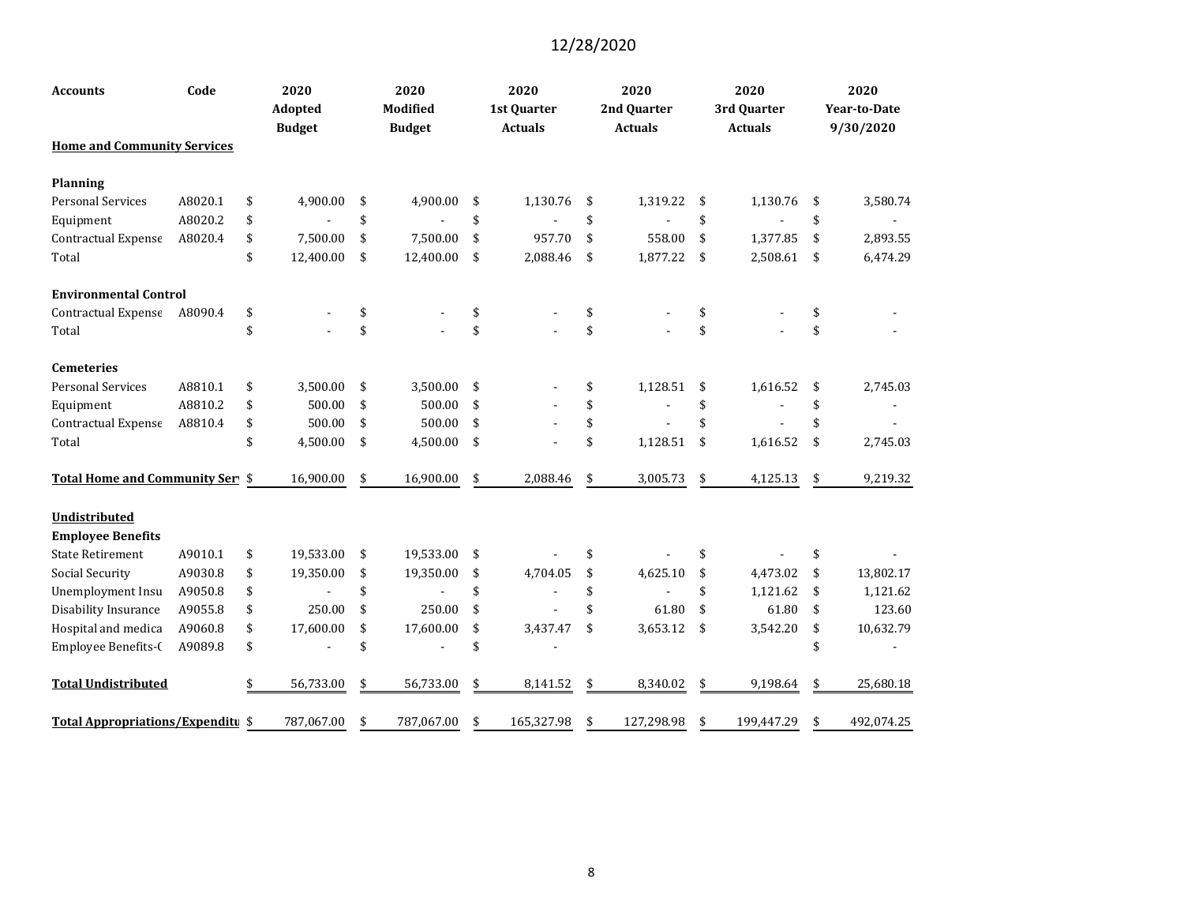| <b>Accounts</b>                          | Code    | 2020<br><b>Adopted</b><br><b>Budget</b> | 2020<br>Modified<br><b>Budget</b> | 2020<br>1st Quarter<br><b>Actuals</b> | 2020<br>2nd Quarter<br><b>Actuals</b> | 2020<br>3rd Quarter<br><b>Actuals</b> | 2020<br><b>Year-to-Date</b><br>9/30/2020 |
|------------------------------------------|---------|-----------------------------------------|-----------------------------------|---------------------------------------|---------------------------------------|---------------------------------------|------------------------------------------|
| <b>Home and Community Services</b>       |         |                                         |                                   |                                       |                                       |                                       |                                          |
| Planning                                 |         |                                         |                                   |                                       |                                       |                                       |                                          |
| <b>Personal Services</b>                 | A8020.1 | \$<br>4,900.00                          | \$<br>4,900.00                    | \$<br>1,130.76                        | \$<br>1,319.22                        | \$<br>1,130.76                        | \$<br>3,580.74                           |
| Equipment                                | A8020.2 | \$                                      | \$                                | \$                                    | \$                                    | \$                                    | \$                                       |
| Contractual Expense                      | A8020.4 | \$<br>7,500.00                          | \$<br>7,500.00                    | \$<br>957.70                          | \$<br>558.00                          | \$<br>1,377.85                        | \$<br>2,893.55                           |
| Total                                    |         | \$<br>12,400.00                         | \$<br>12,400.00                   | \$<br>2,088.46                        | \$<br>1,877.22                        | \$<br>2,508.61                        | \$<br>6,474.29                           |
| <b>Environmental Control</b>             |         |                                         |                                   |                                       |                                       |                                       |                                          |
| Contractual Expense                      | A8090.4 | \$                                      | \$                                | \$                                    | \$                                    | \$                                    | \$                                       |
| Total                                    |         | \$                                      | \$                                | \$                                    | \$                                    | \$                                    | \$                                       |
| <b>Cemeteries</b>                        |         |                                         |                                   |                                       |                                       |                                       |                                          |
| <b>Personal Services</b>                 | A8810.1 | \$<br>3,500.00                          | \$<br>3,500.00                    | \$                                    | \$<br>1,128.51                        | \$<br>1,616.52                        | \$<br>2,745.03                           |
| Equipment                                | A8810.2 | \$<br>500.00                            | \$<br>500.00                      | \$                                    | \$                                    | \$                                    | \$                                       |
| Contractual Expense                      | A8810.4 | \$<br>500.00                            | \$<br>500.00                      | \$                                    | \$                                    | \$                                    | \$                                       |
| Total                                    |         | \$<br>4,500.00                          | \$<br>4,500.00                    | \$                                    | \$<br>1,128.51                        | \$<br>1,616.52                        | \$<br>2,745.03                           |
| Total Home and Community Serv \$         |         | 16,900.00                               | \$<br>16,900.00                   | 2,088.46                              | 3,005.73                              | 4,125.13                              | 9,219.32                                 |
| <b>Undistributed</b>                     |         |                                         |                                   |                                       |                                       |                                       |                                          |
| <b>Employee Benefits</b>                 |         |                                         |                                   |                                       |                                       |                                       |                                          |
| <b>State Retirement</b>                  | A9010.1 | \$<br>19,533.00                         | \$<br>19,533.00                   | \$                                    | \$                                    | \$                                    | \$                                       |
| Social Security                          | A9030.8 | \$<br>19,350.00                         | \$<br>19,350.00                   | \$<br>4,704.05                        | \$<br>4,625.10                        | \$<br>4,473.02                        | \$<br>13,802.17                          |
| Unemployment Insu                        | A9050.8 | \$                                      | \$                                | \$                                    | \$                                    | \$<br>1,121.62                        | \$<br>1,121.62                           |
| Disability Insurance                     | A9055.8 | \$<br>250.00                            | \$<br>250.00                      | \$                                    | 61.80                                 | \$<br>61.80                           | \$<br>123.60                             |
| Hospital and medica                      | A9060.8 | \$<br>17,600.00                         | \$<br>17,600.00                   | \$<br>3,437.47                        | \$<br>3,653.12                        | \$<br>3,542.20                        | \$<br>10,632.79                          |
| Employee Benefits-(                      | A9089.8 | \$                                      | \$                                | \$                                    |                                       |                                       | \$                                       |
| <b>Total Undistributed</b>               |         | 56,733.00                               | \$<br>56,733.00                   | \$<br>8,141.52                        | \$<br>8,340.02                        | \$<br>9,198.64                        | \$<br>25,680.18                          |
| <b>Total Appropriations/Expenditu \$</b> |         | 787,067.00                              | \$<br>787,067.00                  | \$<br>165,327.98                      | \$<br>127,298.98                      | \$<br>199,447.29                      | \$<br>492,074.25                         |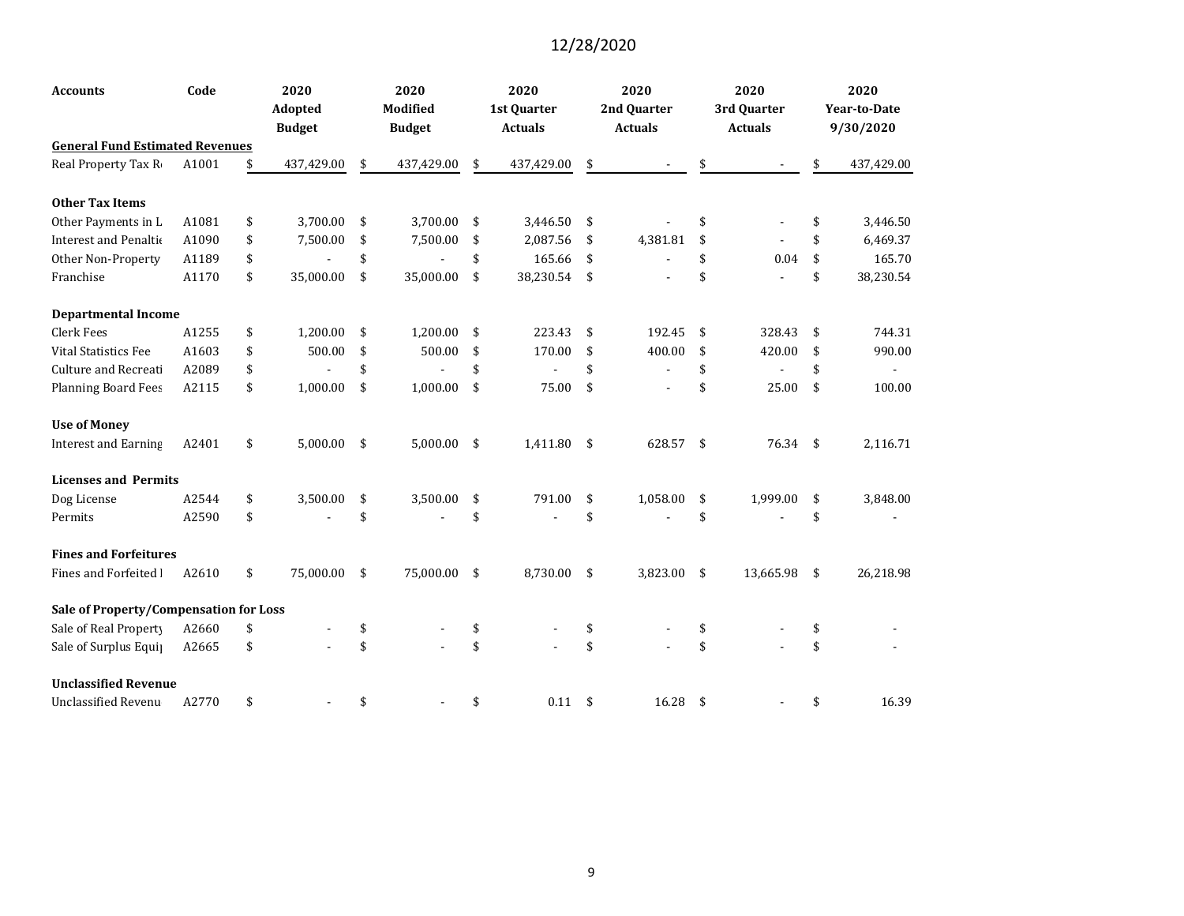| <b>Accounts</b>                        | Code  | 2020<br><b>Adopted</b> | 2020<br><b>Modified</b> | 2020<br>1st Quarter   |                    | 2020<br>2nd Quarter<br><b>Actuals</b> |     | 2020<br>3rd Quarter | 2020<br>Year-to-Date |
|----------------------------------------|-------|------------------------|-------------------------|-----------------------|--------------------|---------------------------------------|-----|---------------------|----------------------|
| <b>General Fund Estimated Revenues</b> |       | <b>Budget</b>          | <b>Budget</b>           | <b>Actuals</b>        |                    |                                       |     | <b>Actuals</b>      | 9/30/2020            |
| Real Property Tax Ro                   | A1001 | 437,429.00             | \$<br>437,429.00        | \$<br>437,429.00      | S                  |                                       | \$  |                     | \$<br>437,429.00     |
| <b>Other Tax Items</b>                 |       |                        |                         |                       |                    |                                       |     |                     |                      |
| Other Payments in L                    | A1081 | \$<br>3,700.00         | \$<br>3,700.00          | \$<br>3,446.50        | \$                 |                                       | \$  |                     | \$<br>3,446.50       |
| Interest and Penaltio                  | A1090 | \$<br>7,500.00         | \$<br>7,500.00          | \$<br>2,087.56        | \$                 | 4,381.81                              | \$  |                     | \$<br>6,469.37       |
| Other Non-Property                     | A1189 | \$<br>÷,               | \$                      | \$<br>165.66          | \$                 |                                       | \$  | 0.04                | \$<br>165.70         |
| Franchise                              | A1170 | \$<br>35,000.00        | \$<br>35,000.00         | \$<br>38,230.54 \$    |                    |                                       | \$  |                     | \$<br>38,230.54      |
| <b>Departmental Income</b>             |       |                        |                         |                       |                    |                                       |     |                     |                      |
| Clerk Fees                             | A1255 | \$<br>1,200.00         | \$<br>1,200.00          | \$<br>223.43          | \$                 | 192.45                                | \$  | 328.43              | \$<br>744.31         |
| <b>Vital Statistics Fee</b>            | A1603 | \$<br>500.00           | \$<br>500.00            | \$<br>170.00          | \$                 | 400.00                                | \$  | 420.00              | \$<br>990.00         |
| <b>Culture and Recreati</b>            | A2089 | \$                     | \$                      | \$                    | \$                 |                                       | \$  |                     | \$<br>$\sim$         |
| <b>Planning Board Fees</b>             | A2115 | \$<br>1,000.00         | \$<br>1,000.00          | \$<br>75.00           | \$                 |                                       | \$  | 25.00               | \$<br>100.00         |
| <b>Use of Money</b>                    |       |                        |                         |                       |                    |                                       |     |                     |                      |
| <b>Interest and Earning</b>            | A2401 | \$<br>5,000.00         | \$<br>5,000.00          | \$<br>1,411.80        | $\mathbf{\hat{s}}$ | 628.57                                | -\$ | 76.34 \$            | 2,116.71             |
| <b>Licenses and Permits</b>            |       |                        |                         |                       |                    |                                       |     |                     |                      |
| Dog License                            | A2544 | \$<br>3,500.00         | \$<br>3,500.00          | \$<br>791.00          | \$                 | 1,058.00                              | \$  | 1,999.00            | \$<br>3,848.00       |
| Permits                                | A2590 | \$                     | \$                      | \$                    | \$                 |                                       | \$  |                     | \$                   |
| <b>Fines and Forfeitures</b>           |       |                        |                         |                       |                    |                                       |     |                     |                      |
| Fines and Forfeited I                  | A2610 | \$<br>75,000.00        | \$<br>75,000.00         | \$<br>8,730.00        | \$                 | 3,823.00                              | \$  | 13,665.98           | \$<br>26,218.98      |
| Sale of Property/Compensation for Loss |       |                        |                         |                       |                    |                                       |     |                     |                      |
| Sale of Real Property                  | A2660 | \$                     | \$                      | \$                    | \$                 |                                       | \$  |                     | \$                   |
| Sale of Surplus Equip                  | A2665 | \$                     | \$                      | \$                    | \$                 |                                       | \$  |                     | \$                   |
| <b>Unclassified Revenue</b>            |       |                        |                         |                       |                    |                                       |     |                     |                      |
| <b>Unclassified Revenu</b>             | A2770 | \$                     | \$                      | \$<br>$0.11 \quad$ \$ |                    | 16.28                                 | \$  |                     | \$<br>16.39          |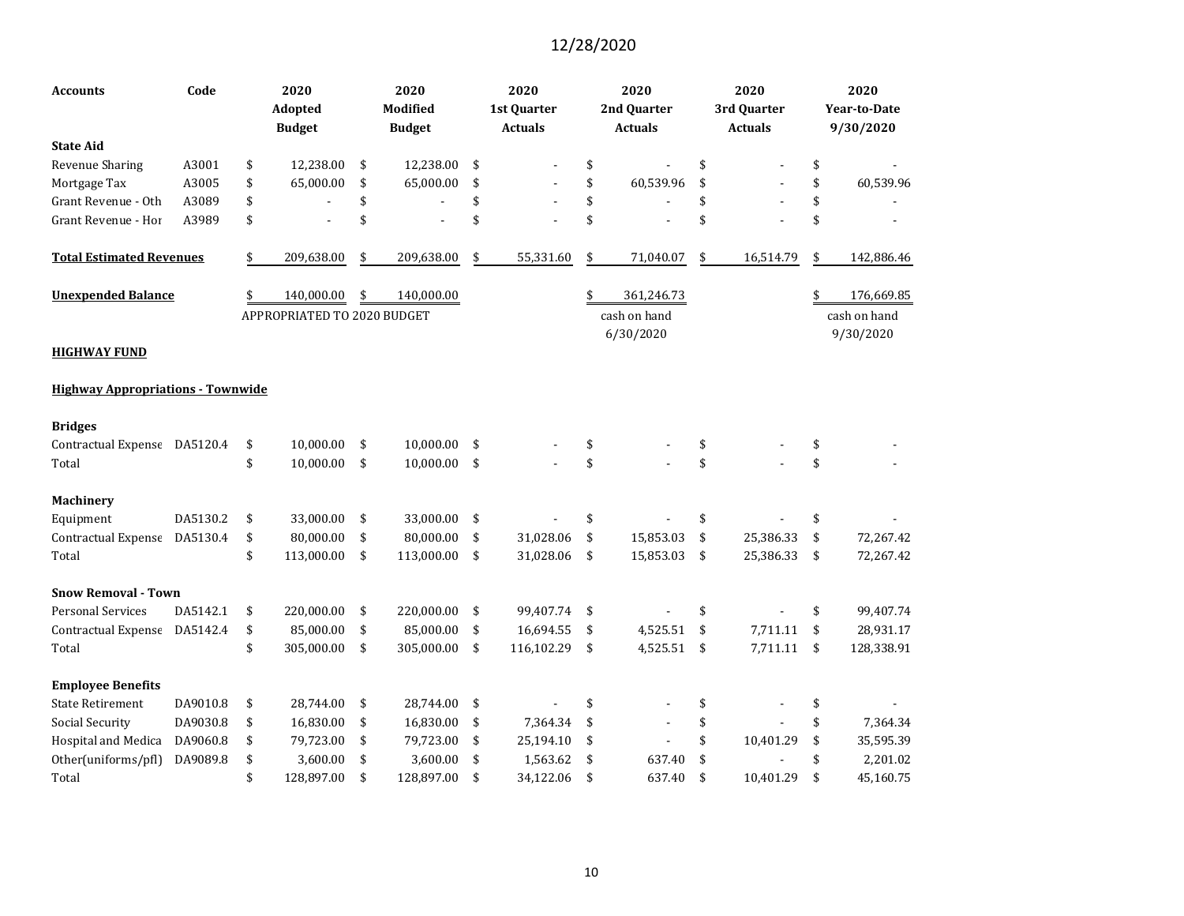| <b>Accounts</b>                          | Code     | 2020<br>Adopted<br><b>Budget</b>   | 2020<br>Modified<br><b>Budget</b> | 2020<br>1st Quarter<br><b>Actuals</b> | 2020<br>2nd Quarter<br><b>Actuals</b> | 2020<br>3rd Quarter<br><b>Actuals</b> | 2020<br><b>Year-to-Date</b><br>9/30/2020 |
|------------------------------------------|----------|------------------------------------|-----------------------------------|---------------------------------------|---------------------------------------|---------------------------------------|------------------------------------------|
| <b>State Aid</b>                         |          |                                    |                                   |                                       |                                       |                                       |                                          |
| <b>Revenue Sharing</b>                   | A3001    | \$<br>12,238.00                    | \$<br>12,238.00                   | \$                                    | \$                                    | \$                                    | \$                                       |
| Mortgage Tax                             | A3005    | \$<br>65,000.00                    | \$<br>65,000.00                   | \$                                    | \$<br>60,539.96                       | \$                                    | \$<br>60,539.96                          |
| Grant Revenue - Oth                      | A3089    | \$                                 | \$                                | \$                                    | \$                                    | \$                                    | \$                                       |
| Grant Revenue - Hor                      | A3989    | \$                                 | \$                                | \$                                    | \$                                    | \$                                    | \$                                       |
| <b>Total Estimated Revenues</b>          |          | \$<br>209,638.00                   | \$<br>209,638.00                  | \$<br>55,331.60                       | \$<br>71,040.07                       | \$<br>16,514.79                       | \$<br>142,886.46                         |
| <b>Unexpended Balance</b>                |          | 140,000.00                         | \$<br>140,000.00                  |                                       | 361,246.73                            |                                       | \$<br>176,669.85                         |
|                                          |          | <b>APPROPRIATED TO 2020 BUDGET</b> |                                   |                                       | cash on hand<br>6/30/2020             |                                       | cash on hand<br>9/30/2020                |
| <b>HIGHWAY FUND</b>                      |          |                                    |                                   |                                       |                                       |                                       |                                          |
| <b>Highway Appropriations - Townwide</b> |          |                                    |                                   |                                       |                                       |                                       |                                          |
| <b>Bridges</b>                           |          |                                    |                                   |                                       |                                       |                                       |                                          |
| Contractual Expense DA5120.4             |          | \$<br>10,000.00                    | \$<br>10,000.00                   | \$                                    | \$                                    | \$                                    | \$                                       |
| Total                                    |          | \$<br>10,000.00                    | \$<br>10,000.00                   | \$                                    | \$                                    | \$                                    | \$                                       |
| <b>Machinery</b>                         |          |                                    |                                   |                                       |                                       |                                       |                                          |
| Equipment                                | DA5130.2 | \$<br>33,000.00                    | \$<br>33,000.00                   | \$                                    | \$                                    | \$                                    | \$                                       |
| Contractual Expense                      | DA5130.4 | \$<br>80,000.00                    | \$<br>80,000.00                   | \$<br>31,028.06                       | \$<br>15,853.03                       | \$<br>25,386.33                       | \$<br>72,267.42                          |
| Total                                    |          | \$<br>113,000.00                   | \$<br>113,000.00                  | \$<br>31,028.06                       | \$<br>15,853.03                       | \$<br>25,386.33                       | \$<br>72,267.42                          |
| <b>Snow Removal - Town</b>               |          |                                    |                                   |                                       |                                       |                                       |                                          |
| <b>Personal Services</b>                 | DA5142.1 | \$<br>220,000.00                   | \$<br>220,000.00                  | \$<br>99,407.74                       | \$                                    | \$                                    | \$<br>99,407.74                          |
| Contractual Expense                      | DA5142.4 | \$<br>85,000.00                    | \$<br>85,000.00                   | \$<br>16,694.55                       | \$<br>4,525.51                        | \$<br>7,711.11                        | \$<br>28,931.17                          |
| Total                                    |          | \$<br>305,000.00                   | \$<br>305,000.00                  | \$<br>116,102.29                      | \$<br>4,525.51                        | \$<br>7,711.11                        | \$<br>128,338.91                         |
| <b>Employee Benefits</b>                 |          |                                    |                                   |                                       |                                       |                                       |                                          |
| <b>State Retirement</b>                  | DA9010.8 | \$<br>28,744.00                    | \$<br>28,744.00                   | \$                                    | \$                                    | \$                                    | \$                                       |
| Social Security                          | DA9030.8 | \$<br>16,830.00                    | \$<br>16,830.00                   | \$<br>7,364.34                        | \$                                    | \$                                    | \$<br>7,364.34                           |
| Hospital and Medica                      | DA9060.8 | \$<br>79,723.00                    | \$<br>79,723.00                   | \$<br>25,194.10                       | \$                                    | \$<br>10,401.29                       | \$<br>35,595.39                          |
| Other(uniforms/pfl)                      | DA9089.8 | \$<br>3,600.00                     | \$<br>3,600.00                    | \$<br>1,563.62                        | \$<br>637.40                          | \$                                    | \$<br>2,201.02                           |
| Total                                    |          | \$<br>128,897.00                   | \$<br>128,897.00                  | \$<br>34,122.06                       | \$<br>637.40                          | \$<br>10,401.29                       | \$<br>45,160.75                          |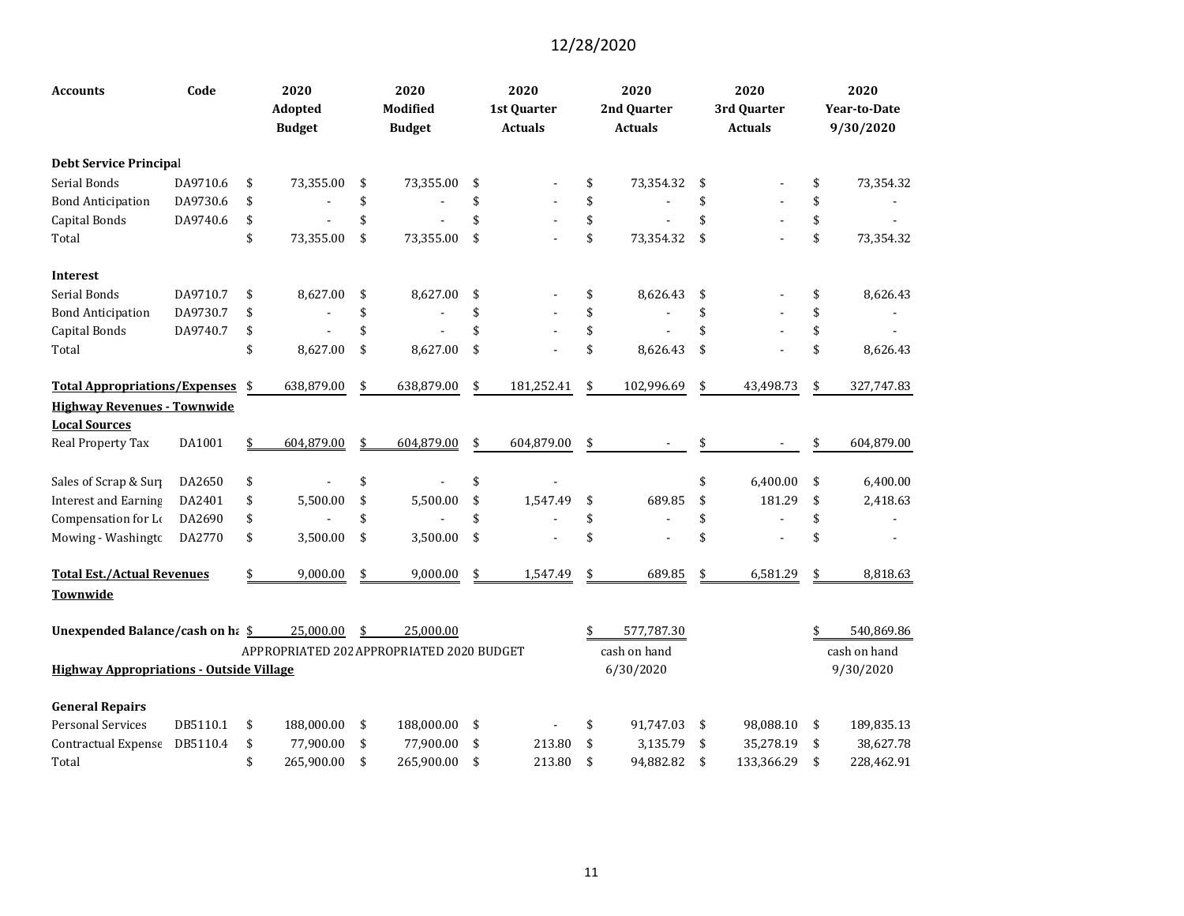| <b>Accounts</b>                                 | Code     | 2020<br><b>Adopted</b><br><b>Budget</b> | 2020<br>Modified<br><b>Budget</b>         | 2020<br>1st Quarter<br><b>Actuals</b> | 2020<br>2nd Quarter<br><b>Actuals</b> | 2020<br>3rd Quarter<br><b>Actuals</b> | 2020<br><b>Year-to-Date</b><br>9/30/2020 |
|-------------------------------------------------|----------|-----------------------------------------|-------------------------------------------|---------------------------------------|---------------------------------------|---------------------------------------|------------------------------------------|
| <b>Debt Service Principal</b>                   |          |                                         |                                           |                                       |                                       |                                       |                                          |
| Serial Bonds                                    | DA9710.6 | \$<br>73,355.00                         | \$<br>73,355.00                           | \$                                    | \$<br>73,354.32                       | \$                                    | \$<br>73,354.32                          |
| <b>Bond Anticipation</b>                        | DA9730.6 | \$                                      | \$                                        | \$                                    | \$                                    | \$                                    | \$                                       |
| Capital Bonds                                   | DA9740.6 | \$                                      | \$                                        | \$                                    | \$                                    | \$                                    | \$                                       |
| Total                                           |          | \$<br>73,355.00                         | \$<br>73,355.00                           | \$                                    | \$<br>73,354.32                       | \$                                    | \$<br>73,354.32                          |
| <b>Interest</b>                                 |          |                                         |                                           |                                       |                                       |                                       |                                          |
| Serial Bonds                                    | DA9710.7 | \$<br>8,627.00                          | \$<br>8,627.00                            | \$                                    | \$<br>8,626.43                        | \$                                    | \$<br>8,626.43                           |
| <b>Bond Anticipation</b>                        | DA9730.7 | \$                                      | \$                                        | \$                                    | \$                                    | \$                                    | \$                                       |
| Capital Bonds                                   | DA9740.7 | \$                                      | \$                                        | \$                                    | \$                                    | \$                                    | \$                                       |
| Total                                           |          | \$<br>8,627.00                          | \$<br>8,627.00                            | \$                                    | \$<br>8,626.43                        | \$                                    | \$<br>8,626.43                           |
| <b>Total Appropriations/Expenses</b>            |          | \$<br>638,879.00                        | \$<br>638,879.00                          | \$<br>181,252.41                      | \$<br>102,996.69                      | \$<br>43,498.73                       | \$<br>327,747.83                         |
| <b>Highway Revenues - Townwide</b>              |          |                                         |                                           |                                       |                                       |                                       |                                          |
| <b>Local Sources</b>                            |          |                                         |                                           |                                       |                                       |                                       |                                          |
| Real Property Tax                               | DA1001   | 604,879.00                              | \$<br>604,879.00                          | \$<br>604,879.00                      |                                       |                                       | 604,879.00                               |
| Sales of Scrap & Surp                           | DA2650   | \$                                      | \$                                        | \$                                    |                                       | \$<br>6,400.00                        | \$<br>6,400.00                           |
| <b>Interest and Earning</b>                     | DA2401   | \$<br>5,500.00                          | \$<br>5,500.00                            | \$<br>1,547.49                        | \$<br>689.85                          | \$<br>181.29                          | \$<br>2,418.63                           |
| Compensation for Lo                             | DA2690   | \$                                      | \$                                        | \$                                    | \$                                    | \$                                    | \$                                       |
| Mowing - Washingtc                              | DA2770   | \$<br>3,500.00                          | \$<br>3,500.00                            | \$                                    | \$                                    | \$                                    | \$                                       |
| <b>Total Est./Actual Revenues</b>               |          | 9,000.00                                | \$<br>9,000.00                            | \$<br>1,547.49                        | \$<br>689.85                          | \$<br>6,581.29                        | \$<br>8,818.63                           |
| Townwide                                        |          |                                         |                                           |                                       |                                       |                                       |                                          |
| Unexpended Balance/cash on ha \$                |          | 25,000.00                               | 25,000.00                                 |                                       | 577,787.30                            |                                       | 540,869.86                               |
|                                                 |          |                                         | APPROPRIATED 202 APPROPRIATED 2020 BUDGET |                                       | cash on hand                          |                                       | cash on hand                             |
| <b>Highway Appropriations - Outside Village</b> |          |                                         |                                           |                                       | 6/30/2020                             |                                       | 9/30/2020                                |
| <b>General Repairs</b>                          |          |                                         |                                           |                                       |                                       |                                       |                                          |
| <b>Personal Services</b>                        | DB5110.1 | \$<br>188,000.00                        | \$<br>188,000.00                          | \$                                    | \$<br>91,747.03                       | \$<br>98,088.10                       | \$<br>189,835.13                         |
| Contractual Expense                             | DB5110.4 | \$<br>77,900.00                         | \$<br>77,900.00                           | \$<br>213.80                          | \$<br>3,135.79                        | \$<br>35,278.19                       | \$<br>38,627.78                          |
| Total                                           |          | \$<br>265,900.00                        | \$<br>265,900.00                          | \$<br>213.80                          | \$<br>94,882.82                       | \$<br>133,366.29                      | \$<br>228,462.91                         |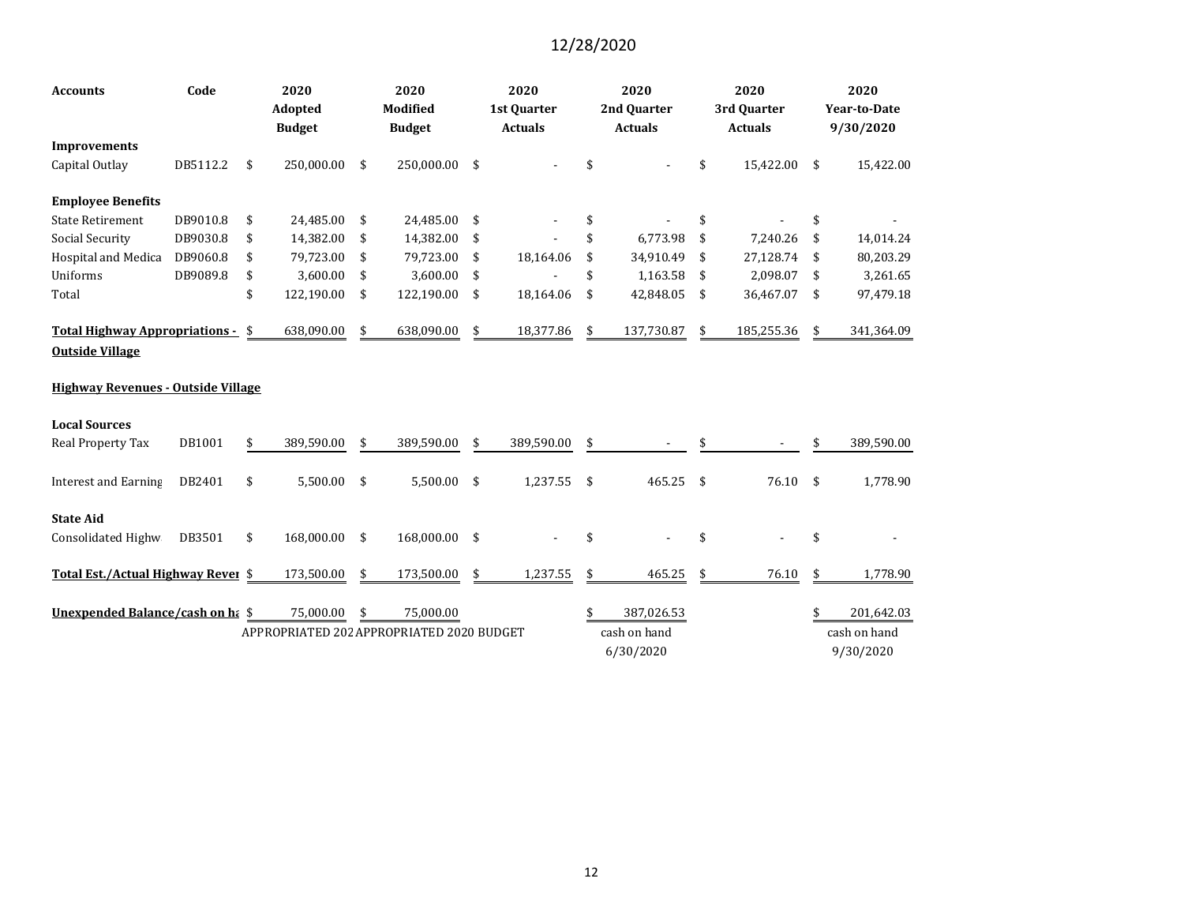| <b>Accounts</b>                                                 | Code     | 2020<br>Adopted<br><b>Budget</b> | 2020<br><b>Modified</b><br><b>Budget</b>  | 2020<br>1st Quarter<br><b>Actuals</b> | 2020<br>2nd Quarter<br><b>Actuals</b> |      | 2020<br>3rd Quarter<br><b>Actuals</b> |    | 2020<br><b>Year-to-Date</b><br>9/30/2020 |
|-----------------------------------------------------------------|----------|----------------------------------|-------------------------------------------|---------------------------------------|---------------------------------------|------|---------------------------------------|----|------------------------------------------|
| <b>Improvements</b>                                             |          |                                  |                                           |                                       |                                       |      |                                       |    |                                          |
| Capital Outlay                                                  | DB5112.2 | \$<br>250,000.00                 | \$<br>250,000.00                          | \$                                    |                                       | \$   | 15,422.00                             | \$ | 15,422.00                                |
| <b>Employee Benefits</b>                                        |          |                                  |                                           |                                       |                                       |      |                                       |    |                                          |
| <b>State Retirement</b>                                         | DB9010.8 | \$<br>24,485.00                  | \$<br>24,485.00                           | \$                                    |                                       |      |                                       | \$ |                                          |
| Social Security                                                 | DB9030.8 | \$<br>14,382.00                  | \$<br>14,382.00                           | \$                                    | 6,773.98                              | \$   | 7,240.26                              | -S | 14,014.24                                |
| Hospital and Medica                                             | DB9060.8 | 79,723.00                        | \$<br>79,723.00                           | \$<br>18.164.06                       | \$<br>34,910.49                       | \$   | 27,128.74                             | \$ | 80,203.29                                |
| Uniforms                                                        | DB9089.8 | \$<br>3,600.00                   | \$<br>3,600.00                            | \$                                    | \$<br>1,163.58                        | - \$ | 2,098.07                              | \$ | 3,261.65                                 |
| Total                                                           |          | \$<br>122,190.00                 | \$<br>122,190.00                          | \$<br>18,164.06                       | \$<br>42,848.05                       | \$   | 36,467.07                             | \$ | 97,479.18                                |
| <b>Total Highway Appropriations -</b><br><b>Outside Village</b> |          | 638,090.00                       | \$<br>638,090.00                          | 18,377.86                             | 137,730.87                            | \$   | 185,255.36                            | \$ | 341,364.09                               |
| <b>Highway Revenues - Outside Village</b>                       |          |                                  |                                           |                                       |                                       |      |                                       |    |                                          |
| <b>Local Sources</b>                                            |          |                                  |                                           |                                       |                                       |      |                                       |    |                                          |
| <b>Real Property Tax</b>                                        | DB1001   | \$<br>389,590.00                 | \$<br>389,590.00                          | \$<br>389,590.00                      |                                       |      |                                       |    | 389,590.00                               |
| <b>Interest and Earning</b>                                     | DB2401   | \$<br>5,500.00                   | \$<br>5,500.00                            | \$<br>1,237.55                        | \$<br>465.25                          | - \$ | 76.10                                 | \$ | 1,778.90                                 |
| <b>State Aid</b>                                                |          |                                  |                                           |                                       |                                       |      |                                       |    |                                          |
| Consolidated Highw                                              | DB3501   | \$<br>168,000.00                 | \$<br>168,000.00                          | \$                                    |                                       | \$   |                                       | \$ |                                          |
| Total Est./Actual Highway Rever \$                              |          | 173,500.00                       | \$<br>173,500.00                          | 1,237.55                              | \$<br>465.25                          | \$   | 76.10                                 | \$ | 1,778.90                                 |
| Unexpended Balance/cash on ha \$                                |          | 75,000.00                        | 75,000.00                                 |                                       | 387,026.53                            |      |                                       |    | 201,642.03                               |
|                                                                 |          |                                  | APPROPRIATED 202 APPROPRIATED 2020 BUDGET |                                       | cash on hand                          |      |                                       |    | cash on hand                             |
|                                                                 |          |                                  |                                           |                                       | 6/30/2020                             |      |                                       |    | 9/30/2020                                |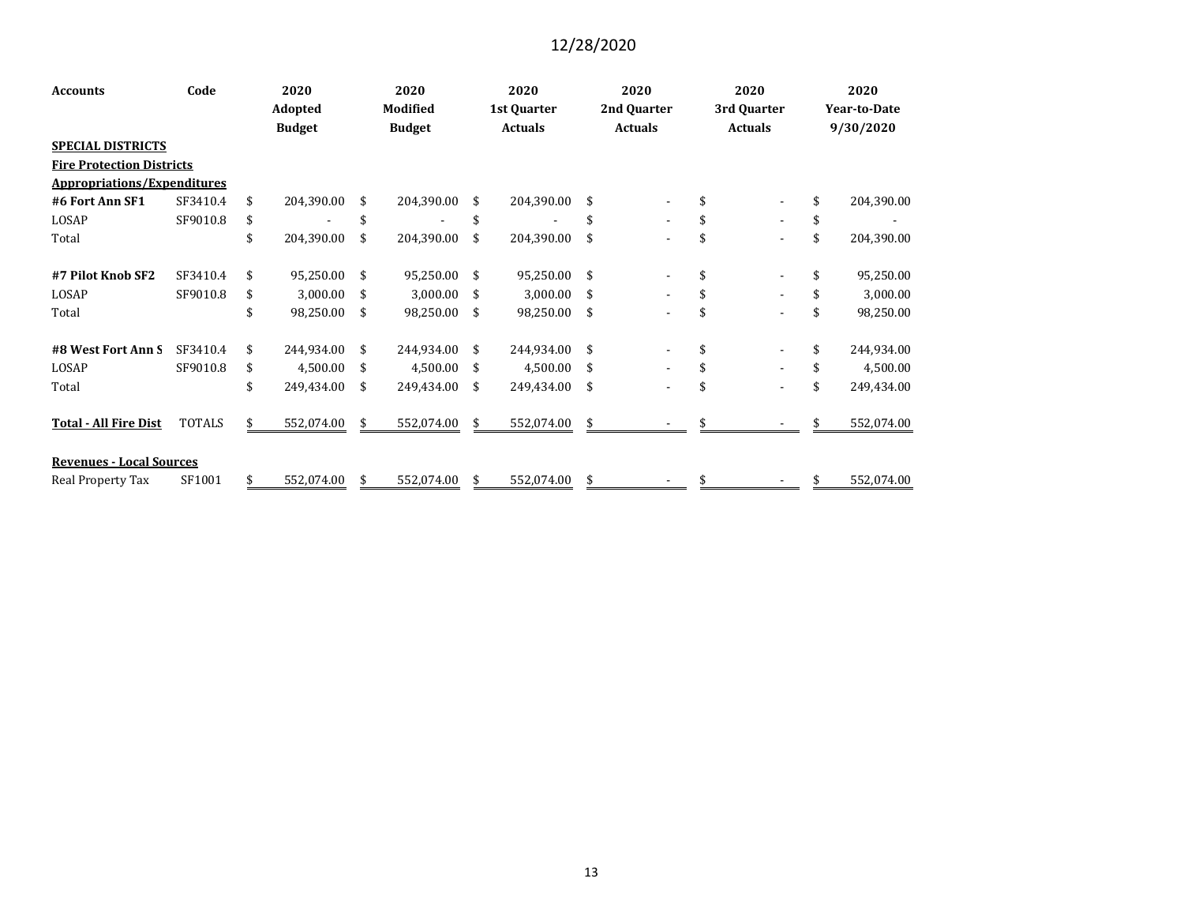| <b>Accounts</b>                    | Code          | 2020<br>Adopted |               |    | 2020<br><b>Modified</b> |     | 2020<br>1st Quarter |     | 2020<br>2nd Quarter | 2020<br>3rd Quarter | 2020<br><b>Year-to-Date</b> |            |  |
|------------------------------------|---------------|-----------------|---------------|----|-------------------------|-----|---------------------|-----|---------------------|---------------------|-----------------------------|------------|--|
|                                    |               |                 | <b>Budget</b> |    | <b>Budget</b>           |     | <b>Actuals</b>      |     | <b>Actuals</b>      | <b>Actuals</b>      |                             | 9/30/2020  |  |
| <b>SPECIAL DISTRICTS</b>           |               |                 |               |    |                         |     |                     |     |                     |                     |                             |            |  |
| <b>Fire Protection Districts</b>   |               |                 |               |    |                         |     |                     |     |                     |                     |                             |            |  |
| <b>Appropriations/Expenditures</b> |               |                 |               |    |                         |     |                     |     |                     |                     |                             |            |  |
| #6 Fort Ann SF1                    | SF3410.4      | \$              | 204,390.00    | \$ | 204,390.00              | \$  | 204,390.00          | -\$ |                     |                     | \$                          | 204,390.00 |  |
| LOSAP                              | SF9010.8      | \$              |               | \$ |                         |     |                     |     |                     |                     | \$                          |            |  |
| Total                              |               | \$              | 204,390.00    | \$ | 204,390.00              | \$  | 204,390.00          |     |                     |                     | \$                          | 204,390.00 |  |
| #7 Pilot Knob SF2                  | SF3410.4      | \$              | 95,250.00     | \$ | 95,250.00               | \$  | 95,250.00           | -\$ |                     |                     | \$                          | 95,250.00  |  |
| LOSAP                              | SF9010.8      | \$              | 3,000.00      | \$ | 3,000.00                | \$  | 3,000.00            | -\$ |                     |                     | \$                          | 3,000.00   |  |
| Total                              |               | \$              | 98,250.00     | \$ | 98,250.00               | \$  | 98,250.00           | \$  |                     |                     | \$                          | 98,250.00  |  |
| #8 West Fort Ann S                 | SF3410.4      | \$              | 244,934.00    | \$ | 244,934.00              | \$  | 244,934.00          | -\$ |                     |                     | \$                          | 244,934.00 |  |
| LOSAP                              | SF9010.8      | \$              | 4,500.00      | \$ | 4,500.00                | \$  | 4,500.00            | -\$ |                     |                     | \$                          | 4,500.00   |  |
| Total                              |               | \$              | 249,434.00    | \$ | 249,434.00              | \$  | 249,434.00          | \$  |                     |                     | \$                          | 249,434.00 |  |
| <b>Total - All Fire Dist</b>       | <b>TOTALS</b> | \$.             | 552,074.00    | S  | 552,074.00              | S.  | 552,074.00          | -\$ |                     |                     | \$.                         | 552,074.00 |  |
| <b>Revenues - Local Sources</b>    |               |                 |               |    |                         |     |                     |     |                     |                     |                             |            |  |
| Real Property Tax                  | SF1001        | \$              | 552,074.00    | \$ | 552,074.00              | \$. | 552,074.00          | \$. |                     | \$                  | \$                          | 552,074.00 |  |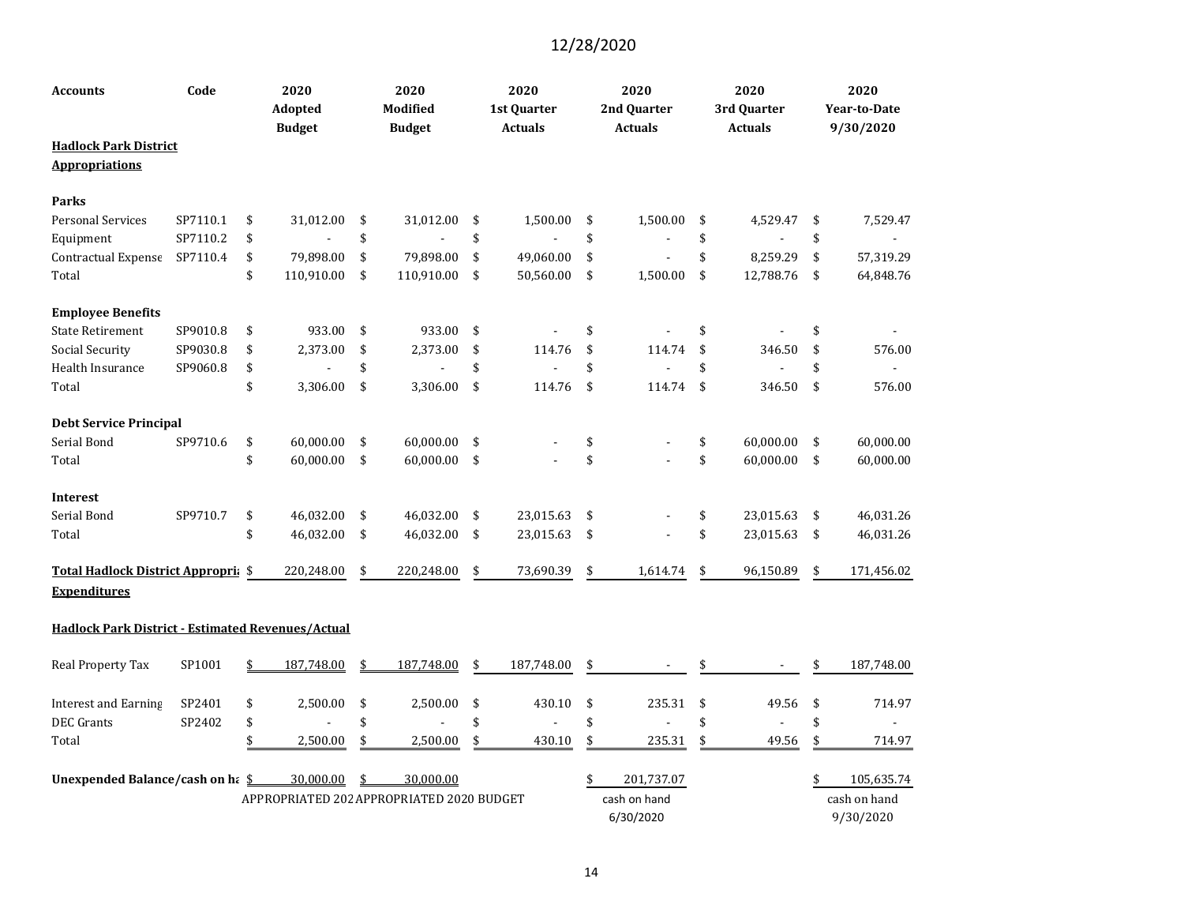| <b>Accounts</b>                                          | Code<br>2020<br>Adopted<br><b>Budget</b> |    | 2020<br>Modified<br><b>Budget</b> |     |                | 2020<br>1st Quarter<br><b>Actuals</b> | 2020<br>2nd Quarter<br><b>Actuals</b> | 2020<br>3rd Quarter<br><b>Actuals</b> | 2020<br><b>Year-to-Date</b><br>9/30/2020 |    |                |
|----------------------------------------------------------|------------------------------------------|----|-----------------------------------|-----|----------------|---------------------------------------|---------------------------------------|---------------------------------------|------------------------------------------|----|----------------|
| <b>Hadlock Park District</b><br><b>Appropriations</b>    |                                          |    |                                   |     |                |                                       |                                       |                                       |                                          |    |                |
| <b>Parks</b>                                             |                                          |    |                                   |     |                |                                       |                                       |                                       |                                          |    |                |
| <b>Personal Services</b>                                 | SP7110.1                                 | \$ | 31,012.00                         | \$  | 31,012.00      | \$                                    | 1,500.00                              | \$<br>1,500.00                        | \$<br>4,529.47                           | \$ | 7,529.47       |
| Equipment                                                | SP7110.2                                 | \$ |                                   | \$  |                | \$                                    |                                       | \$                                    | \$                                       | \$ |                |
| Contractual Expense                                      | SP7110.4                                 | \$ | 79,898.00                         | \$  | 79,898.00      | \$                                    | 49,060.00                             | \$<br>$\overline{\phantom{a}}$        | \$<br>8,259.29                           | \$ | 57,319.29      |
| Total                                                    |                                          | \$ | 110,910.00                        | \$  | 110,910.00     | \$                                    | 50,560.00                             | \$<br>1,500.00                        | \$<br>12,788.76                          | \$ | 64,848.76      |
| <b>Employee Benefits</b>                                 |                                          |    |                                   |     |                |                                       |                                       |                                       |                                          |    |                |
| <b>State Retirement</b>                                  | SP9010.8                                 | \$ | 933.00                            | \$  | 933.00         | \$                                    |                                       | \$                                    | \$                                       | \$ |                |
| <b>Social Security</b>                                   | SP9030.8                                 | \$ | 2,373.00                          | \$  | 2,373.00       | \$                                    | 114.76                                | \$<br>114.74                          | \$<br>346.50                             | \$ | 576.00         |
| Health Insurance                                         | SP9060.8                                 | \$ |                                   | \$  | $\overline{a}$ | \$                                    |                                       | \$                                    | \$                                       | \$ | $\blacksquare$ |
| Total                                                    |                                          | \$ | 3,306.00                          | \$  | 3,306.00       | \$                                    | 114.76                                | \$<br>114.74                          | \$<br>346.50                             | \$ | 576.00         |
| <b>Debt Service Principal</b>                            |                                          |    |                                   |     |                |                                       |                                       |                                       |                                          |    |                |
| Serial Bond                                              | SP9710.6                                 | \$ | 60,000.00                         | \$  | 60,000.00      | \$                                    |                                       | \$                                    | \$<br>60,000.00                          | \$ | 60,000.00      |
| Total                                                    |                                          | \$ | 60,000.00                         | \$  | 60,000.00      | \$                                    |                                       | \$                                    | \$<br>60,000.00                          | \$ | 60,000.00      |
| <b>Interest</b>                                          |                                          |    |                                   |     |                |                                       |                                       |                                       |                                          |    |                |
| Serial Bond                                              | SP9710.7                                 | \$ | 46,032.00                         | \$  | 46,032.00      | \$                                    | 23,015.63                             | \$                                    | \$<br>23,015.63                          | \$ | 46,031.26      |
| Total                                                    |                                          | \$ | 46,032.00                         | \$  | 46,032.00      | \$                                    | 23,015.63                             | \$                                    | \$<br>23,015.63                          | \$ | 46,031.26      |
| Total Hadlock District Appropric \$                      |                                          |    | 220,248.00                        | \$  | 220,248.00     | \$                                    | 73,690.39                             | \$<br>1,614.74                        | \$<br>96,150.89                          | \$ | 171,456.02     |
| <b>Expenditures</b>                                      |                                          |    |                                   |     |                |                                       |                                       |                                       |                                          |    |                |
| <b>Hadlock Park District - Estimated Revenues/Actual</b> |                                          |    |                                   |     |                |                                       |                                       |                                       |                                          |    |                |
| Real Property Tax                                        | SP1001                                   | \$ | 187,748.00                        | \$  | 187,748.00     | \$                                    | 187,748.00                            | \$                                    |                                          | \$ | 187,748.00     |
| <b>Interest and Earning</b>                              | SP2401                                   | \$ | 2,500.00                          | \$  | 2,500.00       | \$                                    | 430.10                                | \$<br>235.31                          | \$<br>49.56                              | \$ | 714.97         |
| <b>DEC</b> Grants                                        | SP2402                                   | \$ |                                   | \$  |                | \$                                    |                                       | \$                                    | \$                                       | \$ |                |
| Total                                                    |                                          | \$ | 2,500.00                          | \$  | 2,500.00       | \$                                    | 430.10                                | \$<br>235.31                          | \$<br>49.56                              | \$ | 714.97         |
| Unexpended Balance/cash on ha \$                         |                                          |    | 30,000.00                         | \$. | 30,000.00      |                                       |                                       | 201,737.07                            |                                          |    | 105,635.74     |
| APPROPRIATED 202 APPROPRIATED 2020 BUDGET                |                                          |    |                                   |     |                |                                       |                                       | cash on hand                          | cash on hand                             |    |                |
|                                                          |                                          |    |                                   |     |                |                                       |                                       | 6/30/2020                             |                                          |    | 9/30/2020      |